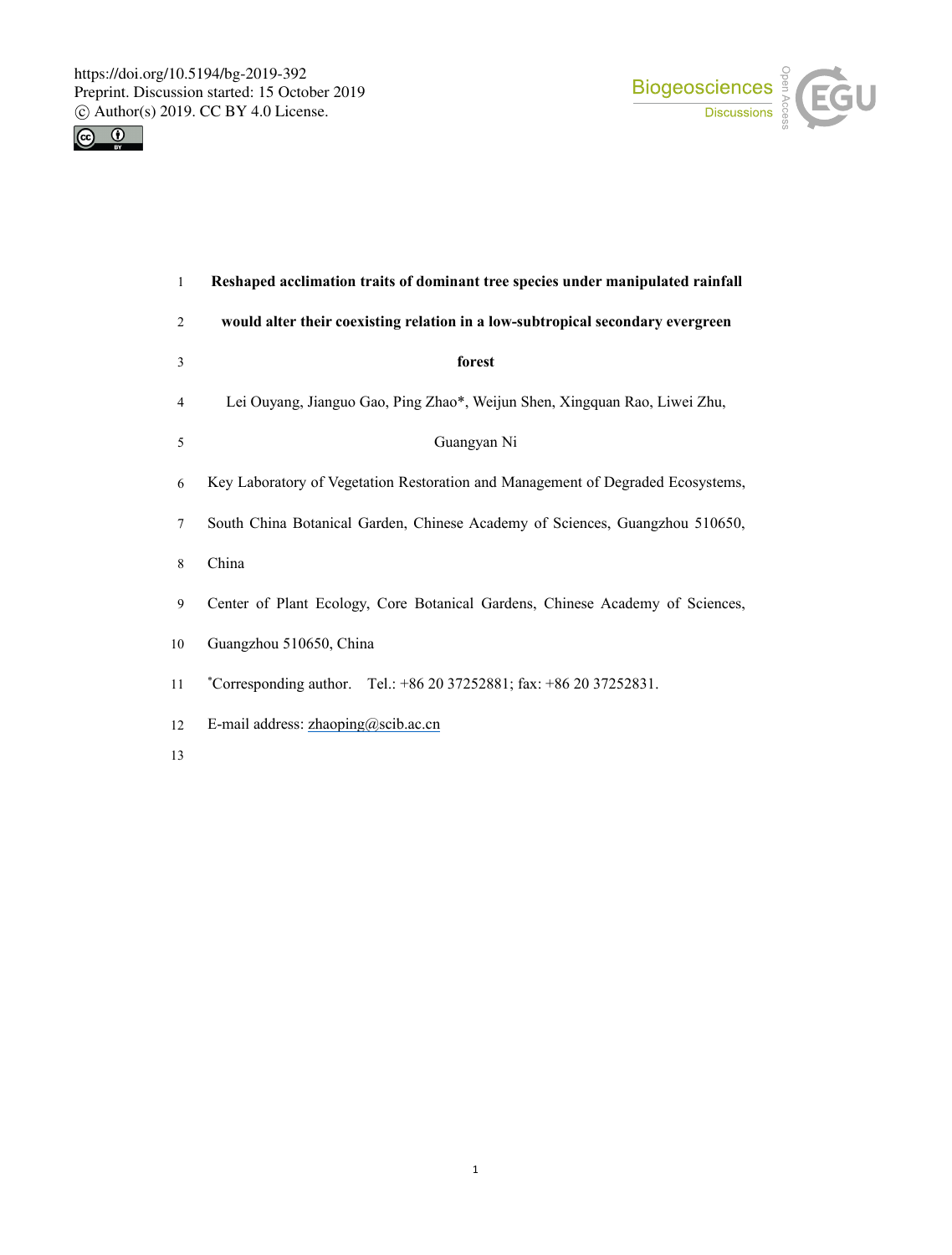



| $\mathbf{1}$ | Reshaped acclimation traits of dominant tree species under manipulated rainfall |
|--------------|---------------------------------------------------------------------------------|
| 2            | would alter their coexisting relation in a low-subtropical secondary evergreen  |
| 3            | forest                                                                          |
| 4            | Lei Ouyang, Jianguo Gao, Ping Zhao*, Weijun Shen, Xingquan Rao, Liwei Zhu,      |
| 5            | Guangyan Ni                                                                     |
| 6            | Key Laboratory of Vegetation Restoration and Management of Degraded Ecosystems, |
| 7            | South China Botanical Garden, Chinese Academy of Sciences, Guangzhou 510650,    |
| 8            | China                                                                           |
| 9            | Center of Plant Ecology, Core Botanical Gardens, Chinese Academy of Sciences,   |
| 10           | Guangzhou 510650, China                                                         |
| 11           | *Corresponding author. Tel.: $+862037252881$ ; fax: $+862037252831$ .           |
| 12           | E-mail address: zhaoping@scib.ac.cn                                             |
|              |                                                                                 |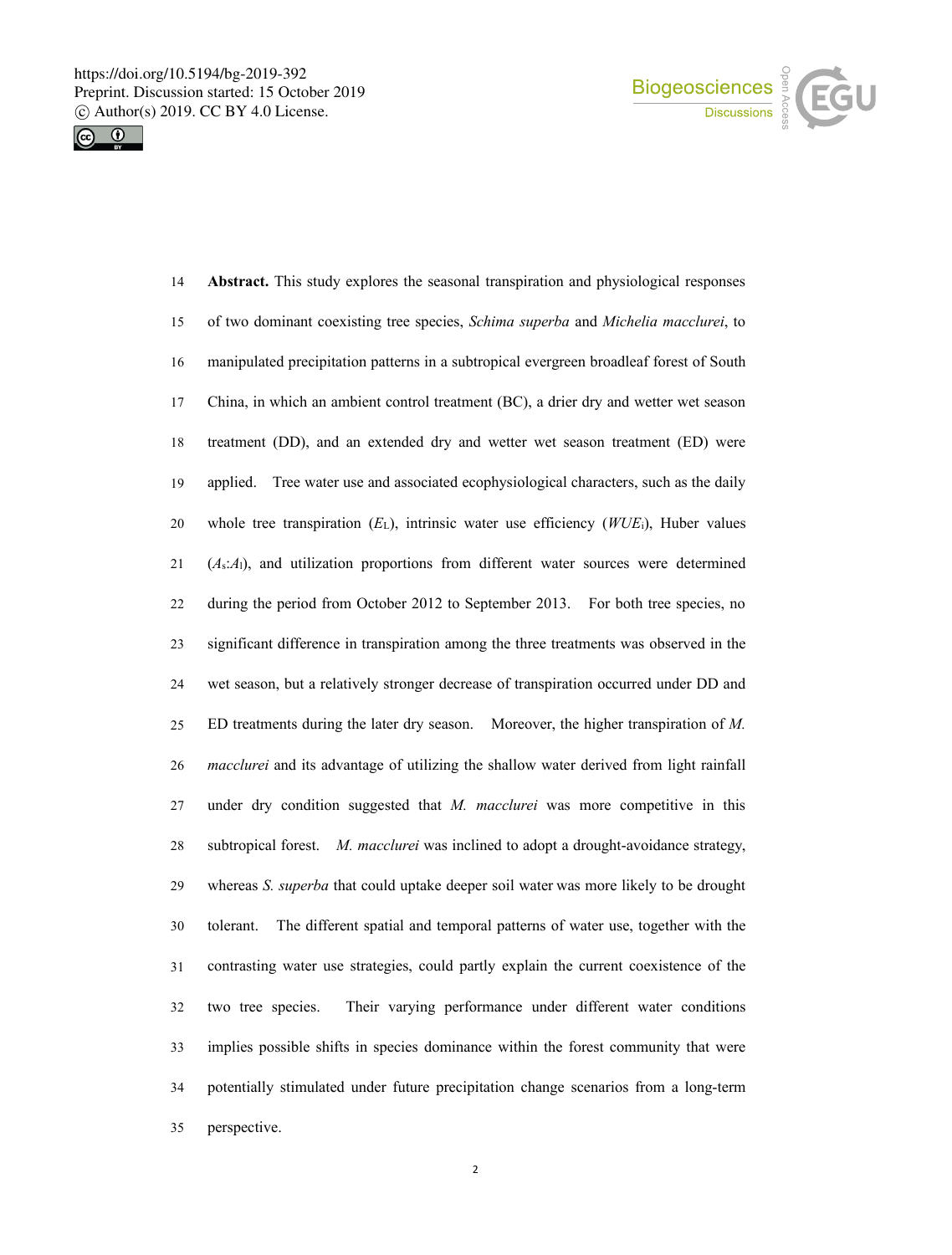



| 14 | Abstract. This study explores the seasonal transpiration and physiological responses       |
|----|--------------------------------------------------------------------------------------------|
| 15 | of two dominant coexisting tree species, Schima superba and Michelia macclurei, to         |
| 16 | manipulated precipitation patterns in a subtropical evergreen broadleaf forest of South    |
| 17 | China, in which an ambient control treatment (BC), a drier dry and wetter wet season       |
| 18 | treatment (DD), and an extended dry and wetter wet season treatment (ED) were              |
| 19 | applied. Tree water use and associated ecophysiological characters, such as the daily      |
| 20 | whole tree transpiration $(E_L)$ , intrinsic water use efficiency $(WUE_i)$ , Huber values |
| 21 | $(A_s:A_1)$ , and utilization proportions from different water sources were determined     |
| 22 | during the period from October 2012 to September 2013. For both tree species, no           |
| 23 | significant difference in transpiration among the three treatments was observed in the     |
| 24 | wet season, but a relatively stronger decrease of transpiration occurred under DD and      |
| 25 | ED treatments during the later dry season. Moreover, the higher transpiration of $M$ .     |
| 26 | macclurei and its advantage of utilizing the shallow water derived from light rainfall     |
| 27 | under dry condition suggested that $M$ . macclurei was more competitive in this            |
| 28 | subtropical forest. M. macclurei was inclined to adopt a drought-avoidance strategy,       |
| 29 | whereas S. superba that could uptake deeper soil water was more likely to be drought       |
| 30 | The different spatial and temporal patterns of water use, together with the<br>tolerant.   |
| 31 | contrasting water use strategies, could partly explain the current coexistence of the      |
| 32 | two tree species.<br>Their varying performance under different water conditions            |
| 33 | implies possible shifts in species dominance within the forest community that were         |
| 34 | potentially stimulated under future precipitation change scenarios from a long-term        |
| 35 | perspective.                                                                               |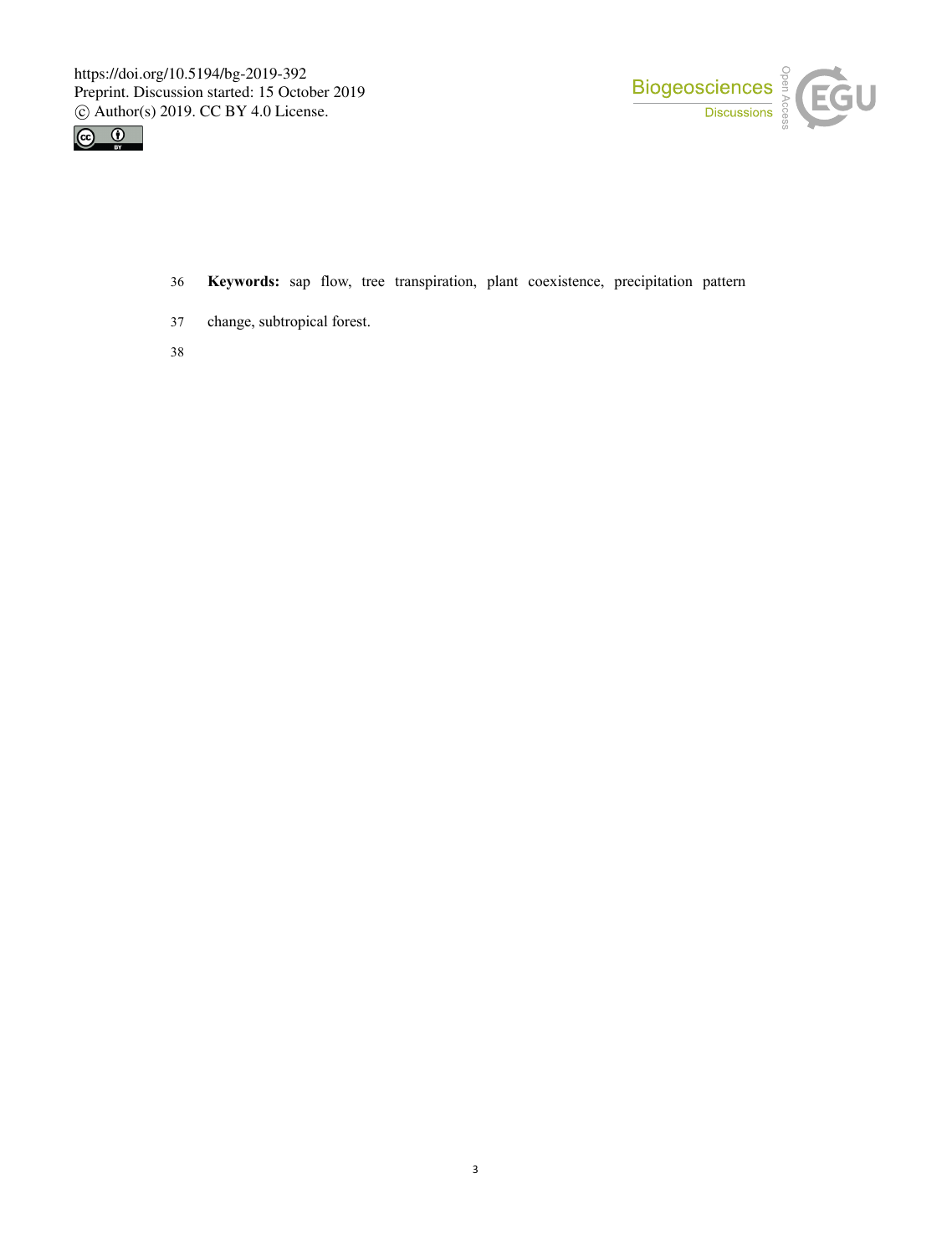



- 36 **Keywords:** sap flow, tree transpiration, plant coexistence, precipitation pattern
- 37 change, subtropical forest.
- 38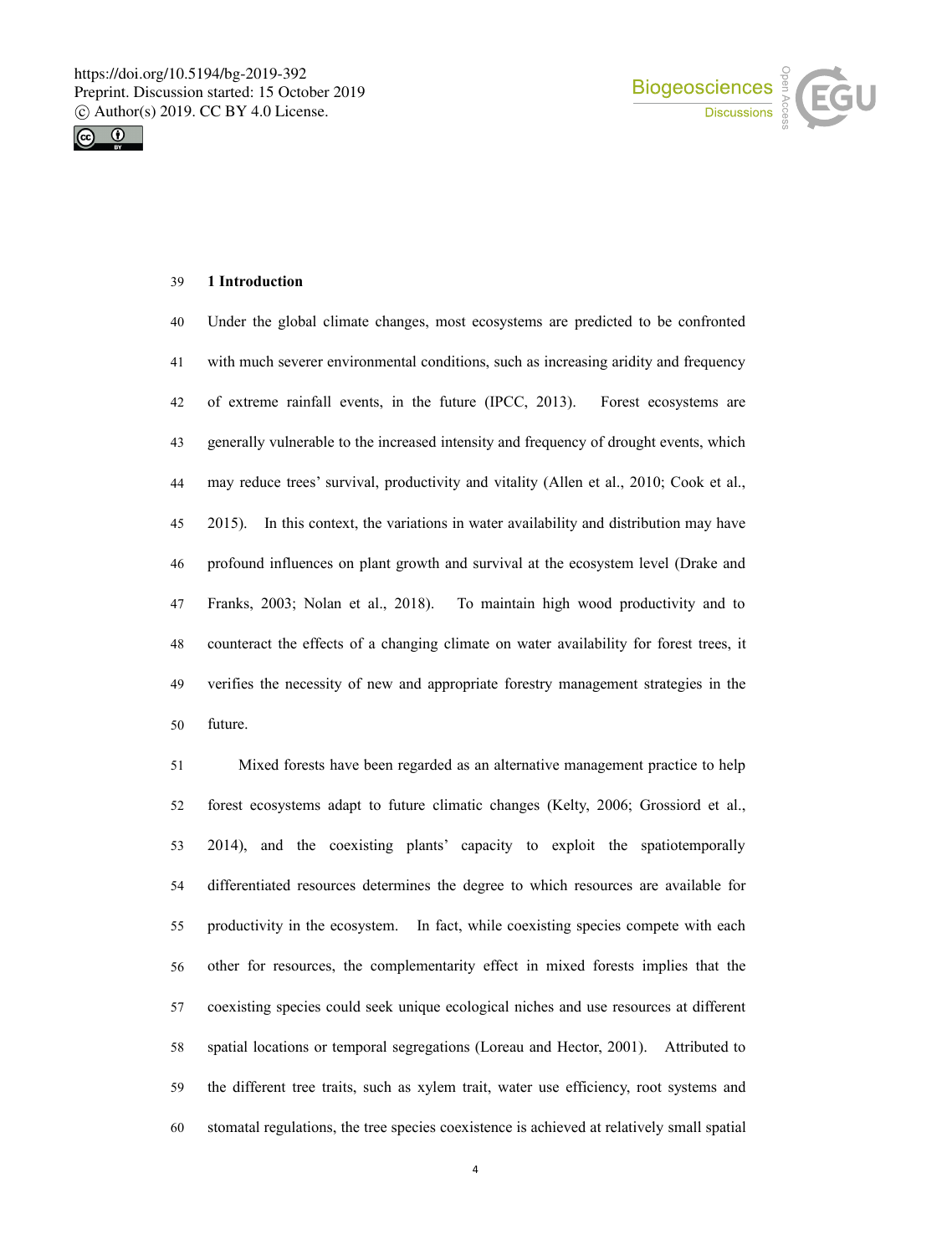



### **1 Introduction**

 Under the global climate changes, most ecosystems are predicted to be confronted with much severer environmental conditions, such as increasing aridity and frequency of extreme rainfall events, in the future (IPCC, 2013). Forest ecosystems are generally vulnerable to the increased intensity and frequency of drought events, which 44 may reduce trees' survival, productivity and vitality (Allen et al., 2010; Cook et al., 2015). In this context, the variations in water availability and distribution may have profound influences on plant growth and survival at the ecosystem level (Drake and 47 Franks, 2003; Nolan et al., 2018). To maintain high wood productivity and to counteract the effects of a changing climate on water availability for forest trees, it verifies the necessity of new and appropriate forestry management strategies in the future.

 Mixed forests have been regarded as an alternative management practice to help 52 forest ecosystems adapt to future climatic changes (Kelty, 2006; Grossiord et al., 53 2014), and the coexisting plants' capacity to exploit the spatiotemporally differentiated resources determines the degree to which resources are available for productivity in the ecosystem. In fact, while coexisting species compete with each other for resources, the complementarity effect in mixed forests implies that the coexisting species could seek unique ecological niches and use resources at different spatial locations or temporal segregations (Loreau and Hector, 2001). Attributed to 59 the different tree traits, such as xylem trait, water use efficiency, root systems and stomatal regulations, the tree species coexistence is achieved at relatively small spatial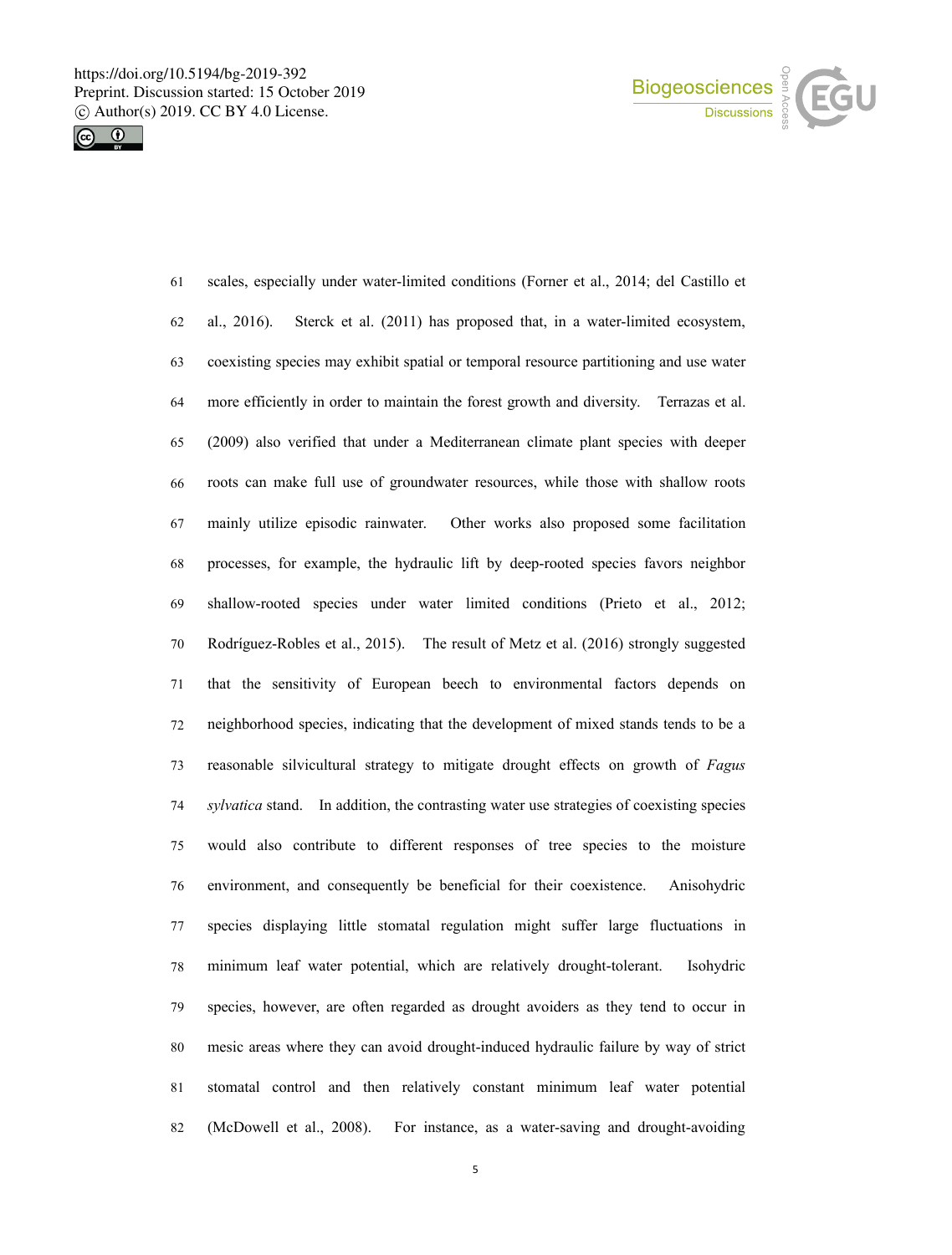



 scales, especially under water-limited conditions (Forner et al., 2014; del Castillo et al., 2016). Sterck et al. (2011) has proposed that, in a water-limited ecosystem, coexisting species may exhibit spatial or temporal resource partitioning and use water more efficiently in order to maintain the forest growth and diversity. Terrazas et al. (2009) also verified that under a Mediterranean climate plant species with deeper roots can make full use of groundwater resources, while those with shallow roots mainly utilize episodic rainwater.Other works also proposed some facilitation processes, for example, the hydraulic lift by deep-rooted species favors neighbor shallow-rooted species under water limited conditions (Prieto et al., 2012; Rodríguez-Robles et al., 2015). The result of Metz et al. (2016) strongly suggested that the sensitivity of European beech to environmental factors depends on neighborhood species, indicating that the development of mixed stands tends to be a reasonable silvicultural strategy to mitigate drought effects on growth of *Fagus sylvatica* stand. In addition, the contrasting water use strategies of coexisting species would also contribute to different responses of tree species to the moisture environment, and consequently be beneficial for their coexistence. Anisohydric species displaying little stomatal regulation might suffer large fluctuations in minimum leaf water potential, which are relatively drought-tolerant. Isohydric species, however, are often regarded as drought avoiders as they tend to occur in mesic areas where they can avoid drought-induced hydraulic failure by way of strict stomatal control and then relatively constant minimum leaf water potential (McDowell et al., 2008). For instance, as a water-saving and drought-avoiding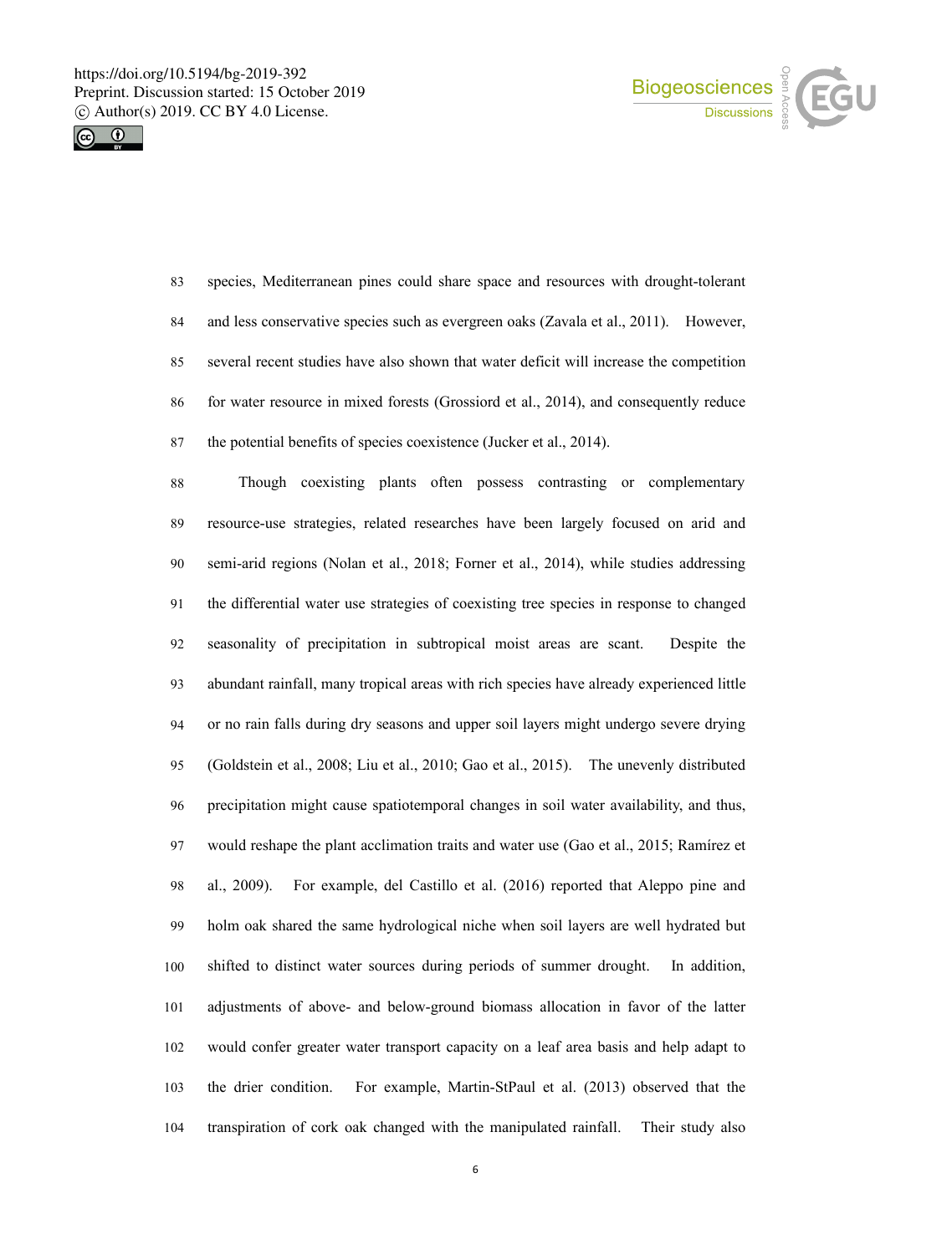



 species, Mediterranean pines could share space and resources with drought-tolerant and less conservative species such as evergreen oaks (Zavala et al., 2011). However, several recent studies have also shown that water deficit will increase the competition for water resource in mixed forests (Grossiord et al., 2014), and consequently reduce the potential benefits of species coexistence (Jucker et al., 2014).

 Though coexisting plants often possess contrasting or complementary resource-use strategies, related researches have been largely focused on arid and semi-arid regions (Nolan et al., 2018; Forner et al., 2014), while studies addressing the differential water use strategies of coexisting tree species in response to changed seasonality of precipitation in subtropical moist areas are scant. Despite the abundant rainfall, many tropical areas with rich species have already experienced little 94 or no rain falls during dry seasons and upper soil layers might undergo severe drying (Goldstein et al., 2008; Liu et al., 2010; Gao et al., 2015). The unevenly distributed precipitation might cause spatiotemporal changes in soil water availability, and thus, would reshape the plant acclimation traits and water use (Gao et al., 2015; Ramírez et al., 2009). For example, del Castillo et al. (2016) reported that Aleppo pine and holm oak shared the same hydrological niche when soil layers are well hydrated but shifted to distinct water sources during periods of summer drought. In addition, adjustments of above- and below-ground biomass allocation in favor of the latter would confer greater water transport capacity on a leafarea basis and help adapt to the drier condition. For example, Martin-StPaul et al. (2013) observed that the transpiration of cork oak changed with the manipulated rainfall. Their study also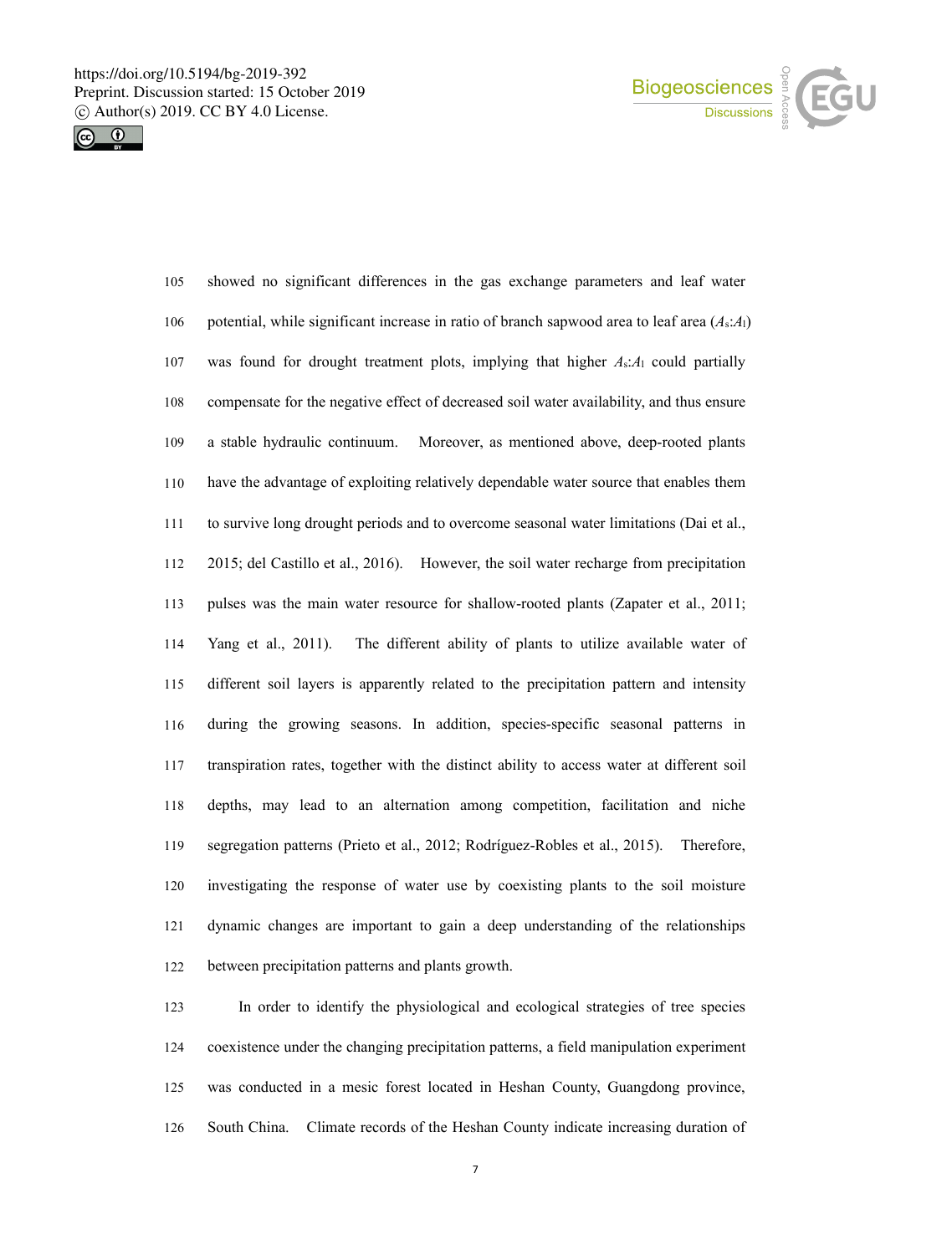



| 105 | showed no significant differences in the gas exchange parameters and leaf water                |
|-----|------------------------------------------------------------------------------------------------|
| 106 | potential, while significant increase in ratio of branch sapwood area to leaf area $(A_s:A_l)$ |
| 107 | was found for drought treatment plots, implying that higher $A_s:A_1$ could partially          |
| 108 | compensate for the negative effect of decreased soil water availability, and thus ensure       |
| 109 | a stable hydraulic continuum.<br>Moreover, as mentioned above, deep-rooted plants              |
| 110 | have the advantage of exploiting relatively dependable water source that enables them          |
| 111 | to survive long drought periods and to overcome seasonal water limitations (Dai et al.,        |
| 112 | 2015; del Castillo et al., 2016). However, the soil water recharge from precipitation          |
| 113 | pulses was the main water resource for shallow-rooted plants (Zapater et al., 2011;            |
| 114 | Yang et al., 2011).<br>The different ability of plants to utilize available water of           |
| 115 | different soil layers is apparently related to the precipitation pattern and intensity         |
| 116 | during the growing seasons. In addition, species-specific seasonal patterns in                 |
| 117 | transpiration rates, together with the distinct ability to access water at different soil      |
| 118 | depths, may lead to an alternation among competition, facilitation and niche                   |
| 119 | segregation patterns (Prieto et al., 2012; Rodríguez-Robles et al., 2015). Therefore,          |
| 120 | investigating the response of water use by coexisting plants to the soil moisture              |
| 121 | dynamic changes are important to gain a deep understanding of the relationships                |
| 122 | between precipitation patterns and plants growth.                                              |

 In order to identify the physiological and ecological strategies of tree species coexistence under the changing precipitation patterns, a field manipulation experiment was conducted in a mesic forest located in Heshan County, Guangdong province, South China. Climate records of the Heshan County indicate increasing duration of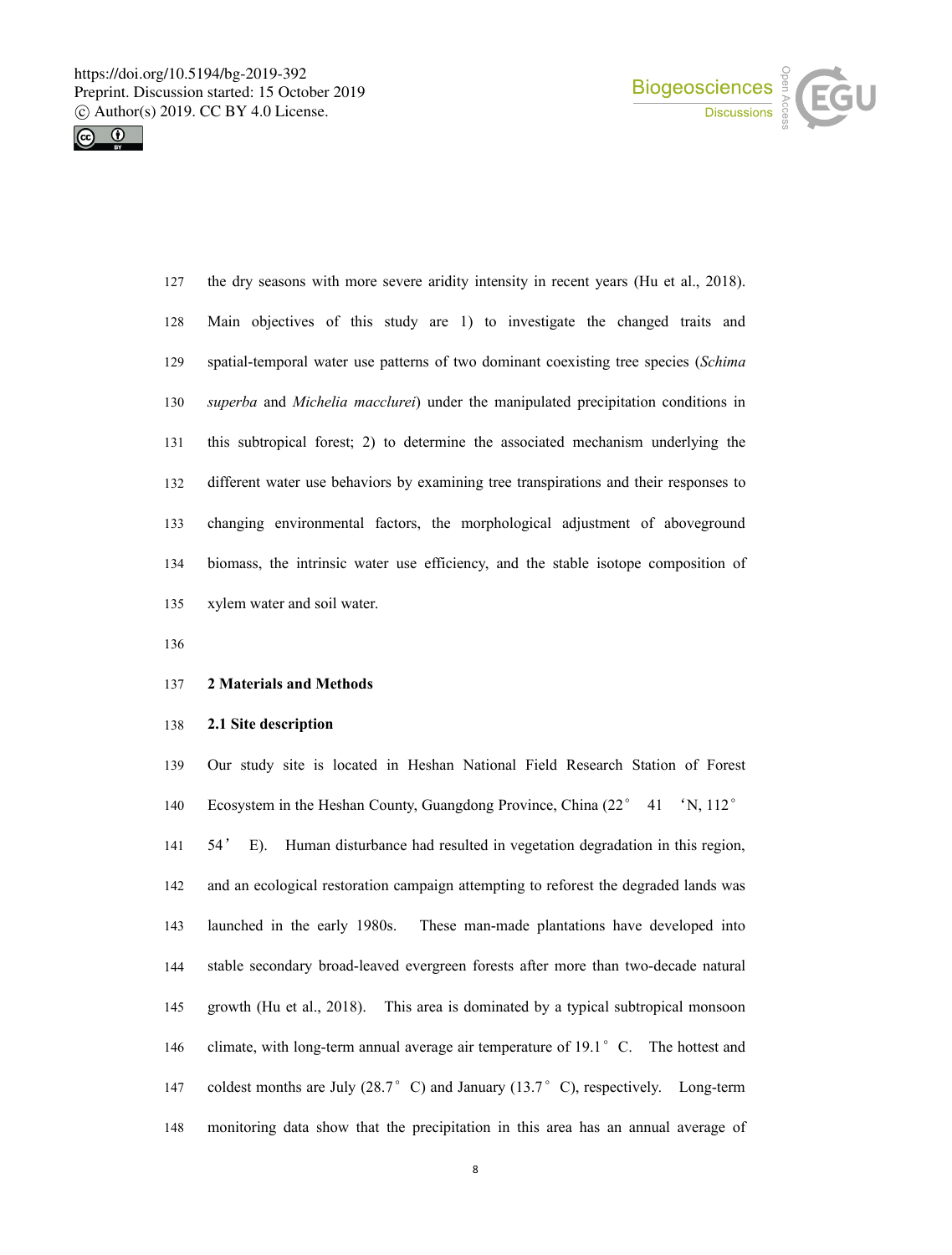



 the dry seasons with more severe aridity intensity in recent years (Hu et al., 2018). Main objectives of this study are 1) to investigate the changed traits and spatial-temporal water use patterns of two dominant coexisting tree species (*Schima superba* and *Michelia macclurei*) under the manipulated precipitation conditions in this subtropical forest; 2) to determine the associated mechanism underlying the different water use behaviors by examining tree transpirations and their responses to changing environmental factors, the morphological adjustment of aboveground biomass, the intrinsic water use efficiency, and the stable isotope composition of xylem water and soil water.

### **2 Materials and Methods**

### **2.1 Site description**

 Our study site is located in Heshan National Field Research Station of Forest Ecosystem in the Heshan County, Guangdong Province, China (22° 41 'N, 112° 54' E). Human disturbance had resulted in vegetation degradation in this region, and an ecological restoration campaign attempting to reforest the degraded lands was launched in the early 1980s. These man-made plantations have developed into stable secondary broad-leaved evergreen forests after more than two-decade natural growth (Hu et al., 2018). This area is dominated by a typical subtropical monsoon 146 climate, with long-term annual average air temperature of 19.1°C. The hottest and 147 coldest months are July (28.7°C) and January (13.7°C), respectively. Long-term monitoring data show that the precipitation in this area has an annual average of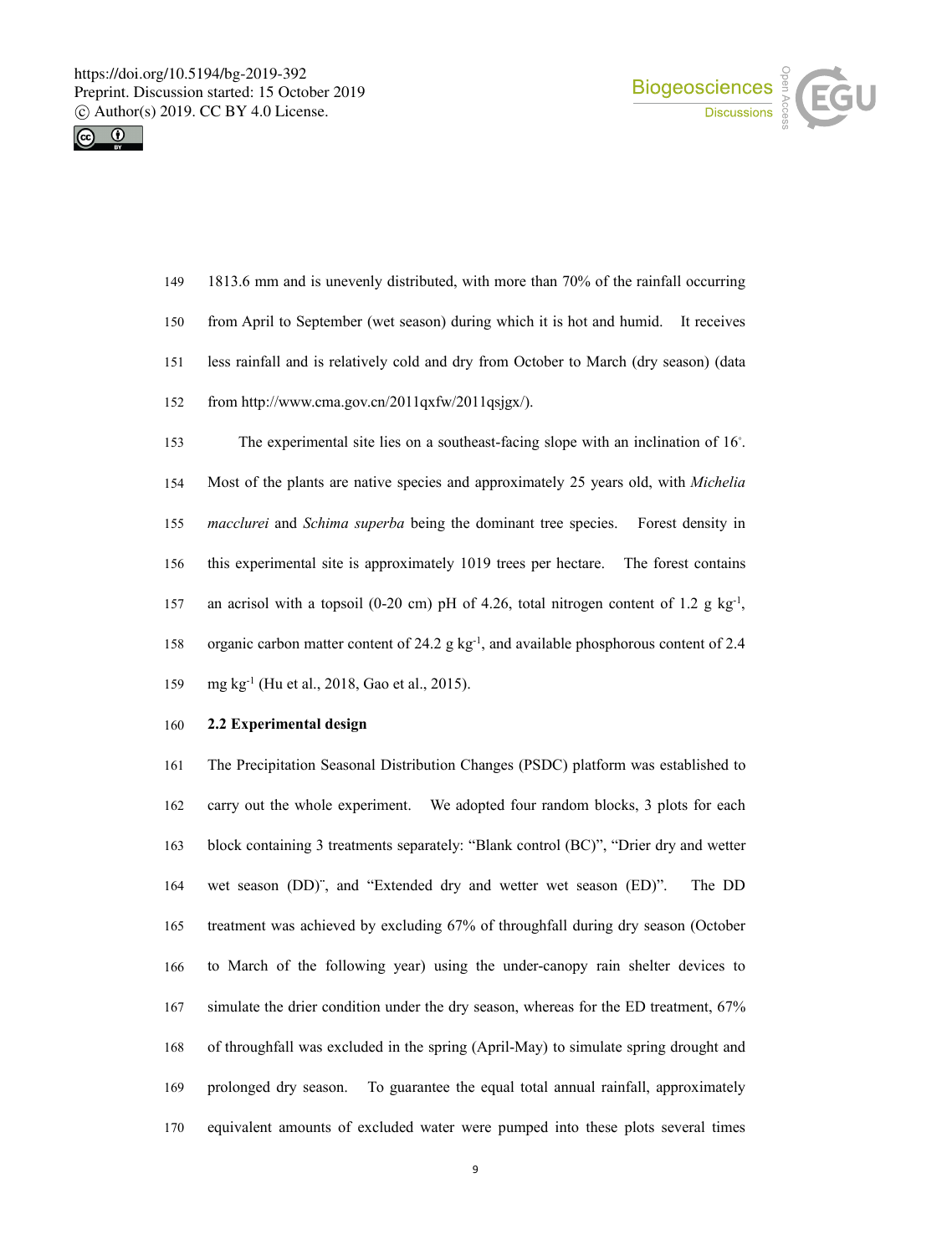



| 150 | from April to September (wet season) during which it is hot and humid. It receives                 |
|-----|----------------------------------------------------------------------------------------------------|
| 151 | less rainfall and is relatively cold and dry from October to March (dry season) (data              |
| 152 | from http://www.cma.gov.cn/2011qxfw/2011qsjgx/).                                                   |
| 153 | The experimental site lies on a southeast-facing slope with an inclination of $16^\circ$ .         |
| 154 | Most of the plants are native species and approximately 25 years old, with <i>Michelia</i>         |
| 155 | <i>macclurei</i> and <i>Schima superba</i> being the dominant tree species.<br>Forest density in   |
| 156 | this experimental site is approximately 1019 trees per hectare.<br>The forest contains             |
| 157 | an acrisol with a topsoil (0-20 cm) pH of 4.26, total nitrogen content of 1.2 g kg <sup>-1</sup> , |
| 158 | organic carbon matter content of 24.2 $g kg-1$ , and available phosphorous content of 2.4          |
|     |                                                                                                    |

1813.6 mm and is unevenly distributed, with more than 70% of the rainfall occurring

### **2.2 Experimental design**

mg kg -1 (Hu et al., 2018, Gao et al., 2015).

 The Precipitation Seasonal Distribution Changes (PSDC) platform was establishedto carry out the whole experiment. We adopted four random blocks, 3 plots for each block containing 3 treatments separately: "Blank control (BC)", "Drier dry and wetter wet season (DD)¨, and "Extended dry and wetter wet season (ED)". The DD treatment was achieved by excluding 67% of throughfall during dry season (October to March of the following year) using the under-canopy rain shelter devices to simulate the drier condition under the dry season, whereas for the ED treatment, 67% of throughfall was excluded in the spring (April-May) to simulate spring drought and prolonged dry season. To guarantee the equal total annual rainfall, approximately equivalent amounts of excluded water were pumped into these plots several times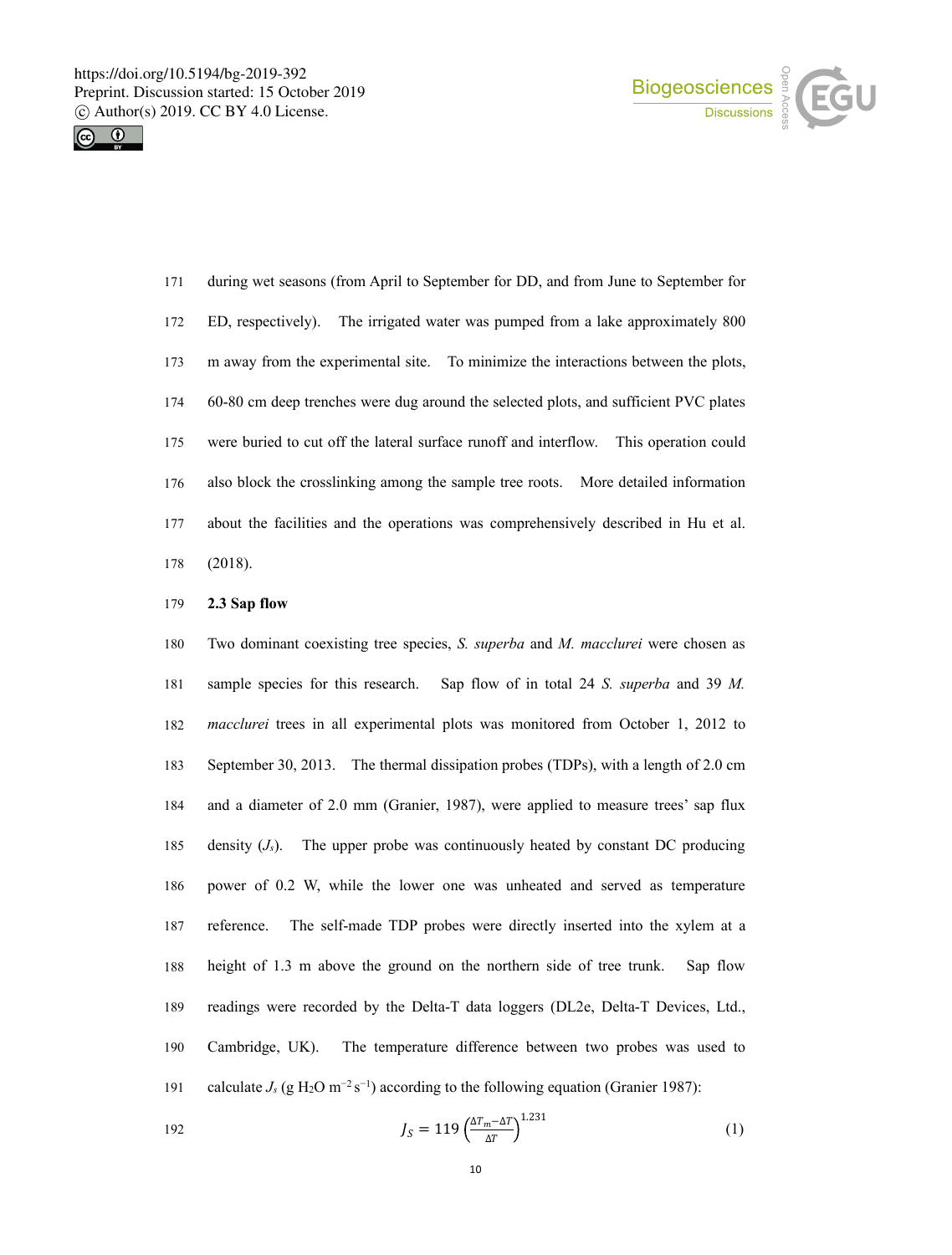



 during wet seasons (from April to September for DD,and from June to September for ED, respectively). The irrigated water was pumped from a lake approximately 800 m away from the experimental site. To minimize the interactions between the plots, 60-80 cm deep trenches weredug around the selected plots, and sufficient PVC plates were buried to cut off the lateral surface runoff and interflow. This operation could also block the crosslinking among the sample tree roots. More detailed information about the facilities and the operations was comprehensively described in Hu et al. (2018).

## **2.3 Sap flow**

180 Two dominant coexisting tree species, *S. superba* and *M. macclurei* were chosen as sample species for this research. Sap flow of in total 24 *S. superba* and 39 *M. macclurei* trees in allexperimental plots was monitored from October 1, 2012 to September 30, 2013. The thermal dissipation probes (TDPs), with a length of 2.0 cm and a diameter of 2.0 mm (Granier,1987), were applied to measure trees'sap flux 185 density  $(J<sub>s</sub>)$ . The upper probe was continuously heated by constant DC producing power of 0.2 W, while the lower one was unheated and served as temperature reference. The self-made TDP probes were directly inserted into the xylem at a height of 1.3 m above the ground on the northern side of tree trunk. Sap flow 189 readings were recorded by the Delta-T data loggers (DL2e, Delta-T Devices, Ltd., Cambridge, UK). The temperature difference between two probes was used to 191 calculate  $J_s$  (g H<sub>2</sub>O m<sup>-2</sup> s<sup>-1</sup>) according to the following equation (Granier 1987):

$$
J_S = 119 \left(\frac{\Delta T_m - \Delta T}{\Delta T}\right)^{1.231} \tag{1}
$$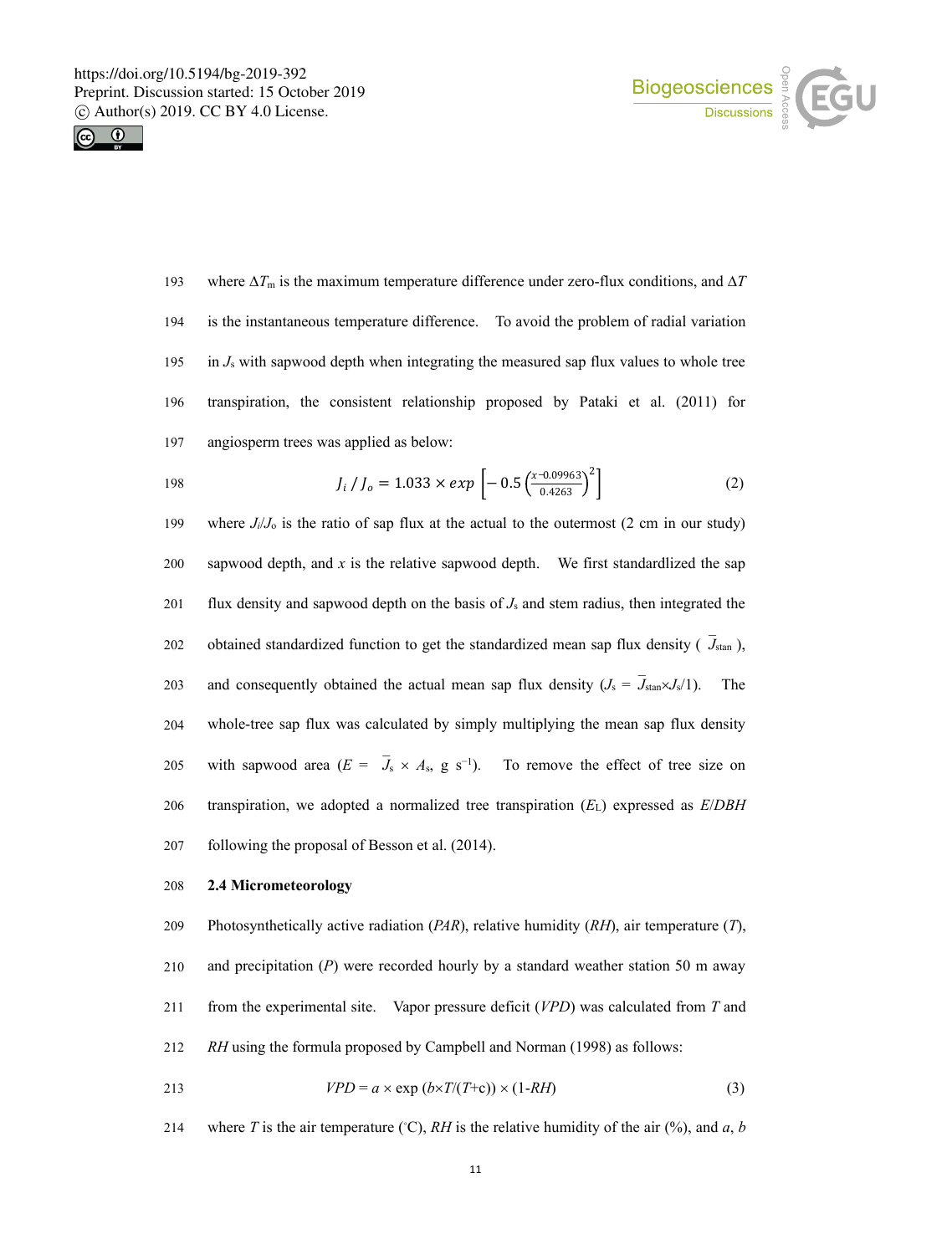



193 where  $\Delta T_m$  is the maximum temperature difference under zero-flux conditions, and  $\Delta T$ 194 is the instantaneous temperature difference.To avoid the problem of radial variation 195 in  $J_s$  with sapwood depth when integrating the measured sap flux values to whole tree 196 transpiration, the consistent relationship proposed by Pataki et al. (2011) for 197 angiosperm trees was applied as below:

198 
$$
J_i / J_o = 1.033 \times exp \left[ -0.5 \left( \frac{x - 0.09963}{0.4263} \right)^2 \right]
$$
 (2)

199 where  $J/\sqrt{J_0}$  is the ratio of sap flux at the actual to the outermost (2 cm in our study) 200 sapwood depth, and  $x$  is the relative sapwood depth. We first standardlized the sap 201 flux density and sapwood depth on the basis of  $J_s$  and stem radius, then integrated the 202 obtained standardized function to get the standardized mean sap flux density (*J*stan ), 203 and consequently obtained the actual mean sap flux density  $(J_s = \bar{J}_{\text{stan}} \times J_s/1)$ . The 204 whole-tree sap flux was calculated by simply multiplying the mean sap flux density 205 with sapwood area  $(E = J_s \times A_s, g s^{-1})$ . To remove the effect of tree size on 206 transpiration, we adopted a normalized tree transpiration (*E*L) expressed as *E*/*DBH* 207 following the proposal of Besson et al. (2014).

### 208 **2.4 Micrometeorology**

 Photosynthetically active radiation (*PAR*), relative humidity (*RH*), air temperature (*T*), and precipitation (*P*) were recorded hourly by a standard weather station 50 m away from the experimental site. Vapor pressure deficit (*VPD*) was calculated from *T* and *RH* using the formula proposed by Campbell and Norman (1998) as follows:

$$
VPD = a \times \exp(b \times T/(T+\epsilon)) \times (1-RH) \tag{3}
$$

214 where *T* is the air temperature (°C), *RH* is the relative humidity of the air (%), and *a*, *b*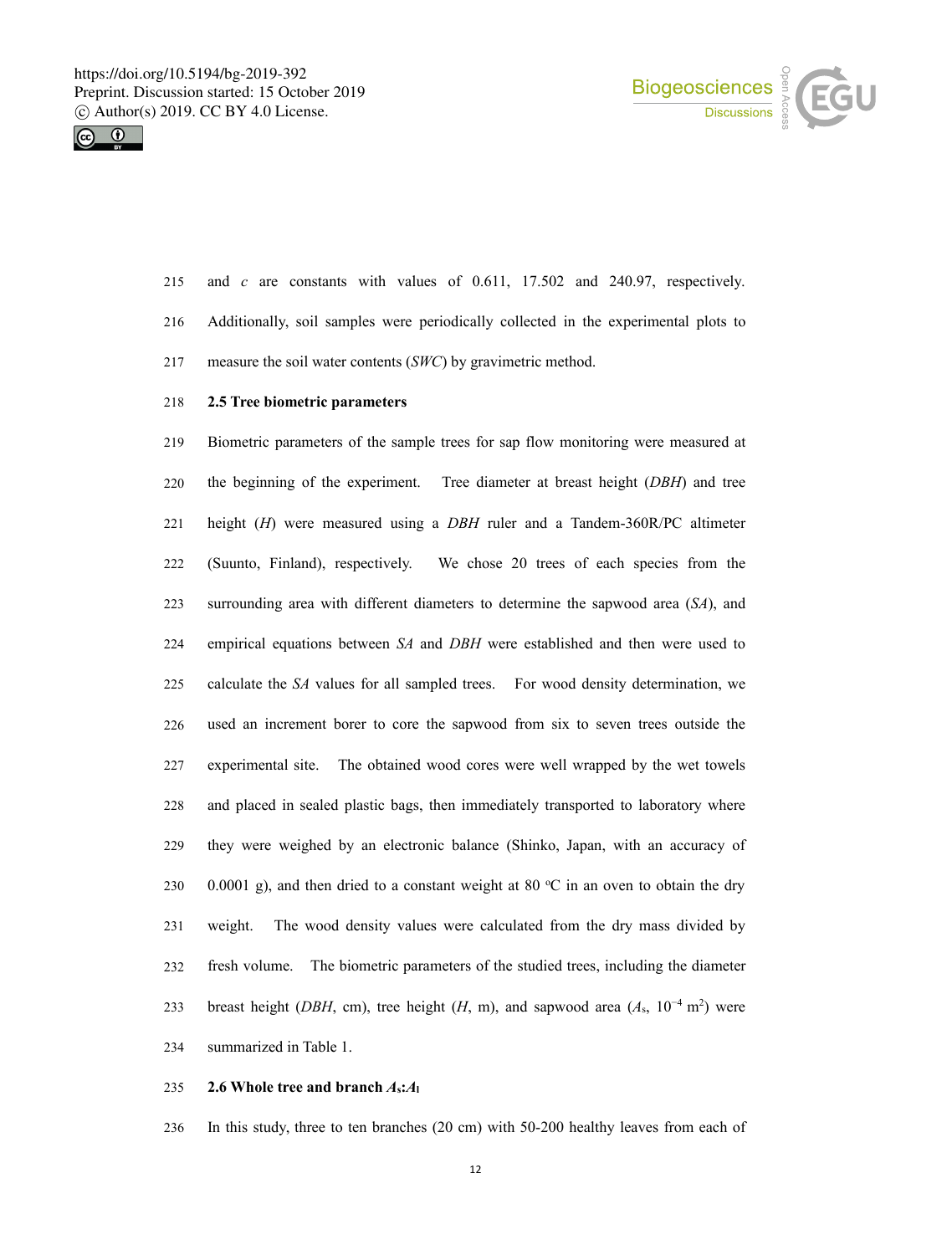



- 215 and  $c$  are constants with values of 0.611, 17.502 and 240.97, respectively.
- Additionally, soil samples were periodically collected in the experimental plots to
- measure the soil water contents (*SWC*) by gravimetric method.

# **2.5 Tree biometric parameters**

 Biometric parameters of the sample trees for sap flow monitoring were measured at the beginning of the experiment. Tree diameter at breast height (*DBH*) and tree height (*H*) were measured using a *DBH* ruler and a Tandem-360R/PC altimeter (Suunto, Finland), respectively. We chose 20 trees of each species from the surrounding area with different diameters to determine the sapwood area (*SA*), and empirical equations between *SA* and *DBH* were established and then were used to calculate the *SA* values for allsampled trees. For wood density determination, we used an increment borer to core the sapwood from six to seven trees outside the experimental site. The obtained wood cores were well wrapped by the wet towels and placed in sealed plastic bags, then immediately transported to laboratory where they were weighed by an electronic balance (Shinko, Japan, with an accuracy of 230 0.0001 g), and then dried to a constant weight at 80  $\degree$ C in an oven to obtain the dry 231 weight. The wood density values were calculated from the dry mass divided by fresh volume. The biometric parameters of the studied trees, including the diameter 233 breast height (*DBH*, cm), tree height (*H*, m), and sapwood area ( $A_s$ ,  $10^{-4}$  m<sup>2</sup>) were summarized in Table 1.

#### 235 **2.6 Whole tree and branch**  $A_s$ : $A_l$

In this study, three to ten branches (20 cm) with 50-200 healthy leaves from each of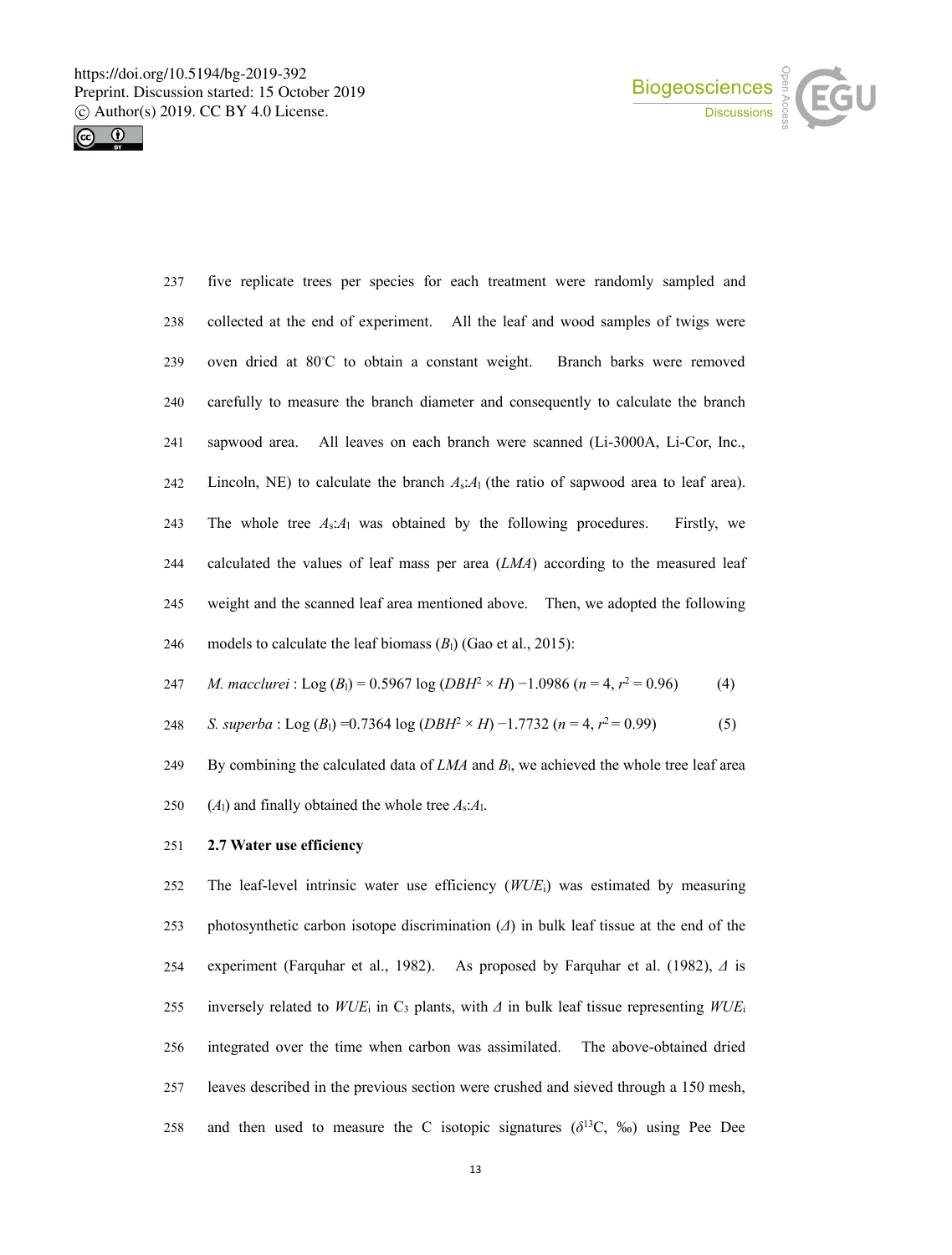



| 237 | five replicate trees per species for each treatment were randomly sampled and                |
|-----|----------------------------------------------------------------------------------------------|
| 238 | collected at the end of experiment. All the leaf and wood samples of twigs were              |
| 239 | oven dried at 80°C to obtain a constant weight.<br>Branch barks were removed                 |
| 240 | carefully to measure the branch diameter and consequently to calculate the branch            |
| 241 | sapwood area. All leaves on each branch were scanned (Li-3000A, Li-Cor, Inc.,                |
| 242 | Lincoln, NE) to calculate the branch $A_s$ : $A_1$ (the ratio of sapwood area to leaf area). |
| 243 | The whole tree $A_s:A_1$ was obtained by the following procedures.<br>Firstly, we            |
| 244 | calculated the values of leaf mass per area $(LMA)$ according to the measured leaf           |
| 245 | weight and the scanned leaf area mentioned above. Then, we adopted the following             |
| 246 | models to calculate the leaf biomass $(B1)$ (Gao et al., 2015):                              |

*M. macclurei* : Log (*B*l) = 0.5967 log (*DBH*<sup>2</sup> × *H*) −1.0986 (*n* = 4, *r* <sup>2</sup> = 0.96) (4)

*S. superba* : Log (*B*l) =0.7364 log (*DBH*<sup>2</sup> × *H*) −1.7732 (*n* = 4, *r* <sup>2</sup> = 0.99) (5)

249 By combining the calculated data of  $LMA$  and  $B<sub>1</sub>$ , we achieved the whole tree leaf area (*A*l) and finally obtained the whole tree *A*s:*A*l.

## **2.7 Water use efficiency**

 The leaf-level intrinsic water use efficiency (*WUE*i) was estimated by measuring photosynthetic carbon isotope discrimination (*Δ*) in bulk leaftissue at the end of the experiment (Farquhar et al., 1982). As proposed by Farquharet al. (1982), *Δ* is 255 inversely related to  $WUE_i$  in C<sub>3</sub> plants, with  $\Delta$  in bulk leaf tissue representing  $WUE_i$  integrated over the time when carbon was assimilated. The above-obtained dried leaves described in the previous section were crushed and sieved through a 150 mesh, 258 and then used to measure the C isotopic signatures  $(\delta^{13}C, \%)$  using Pee Dee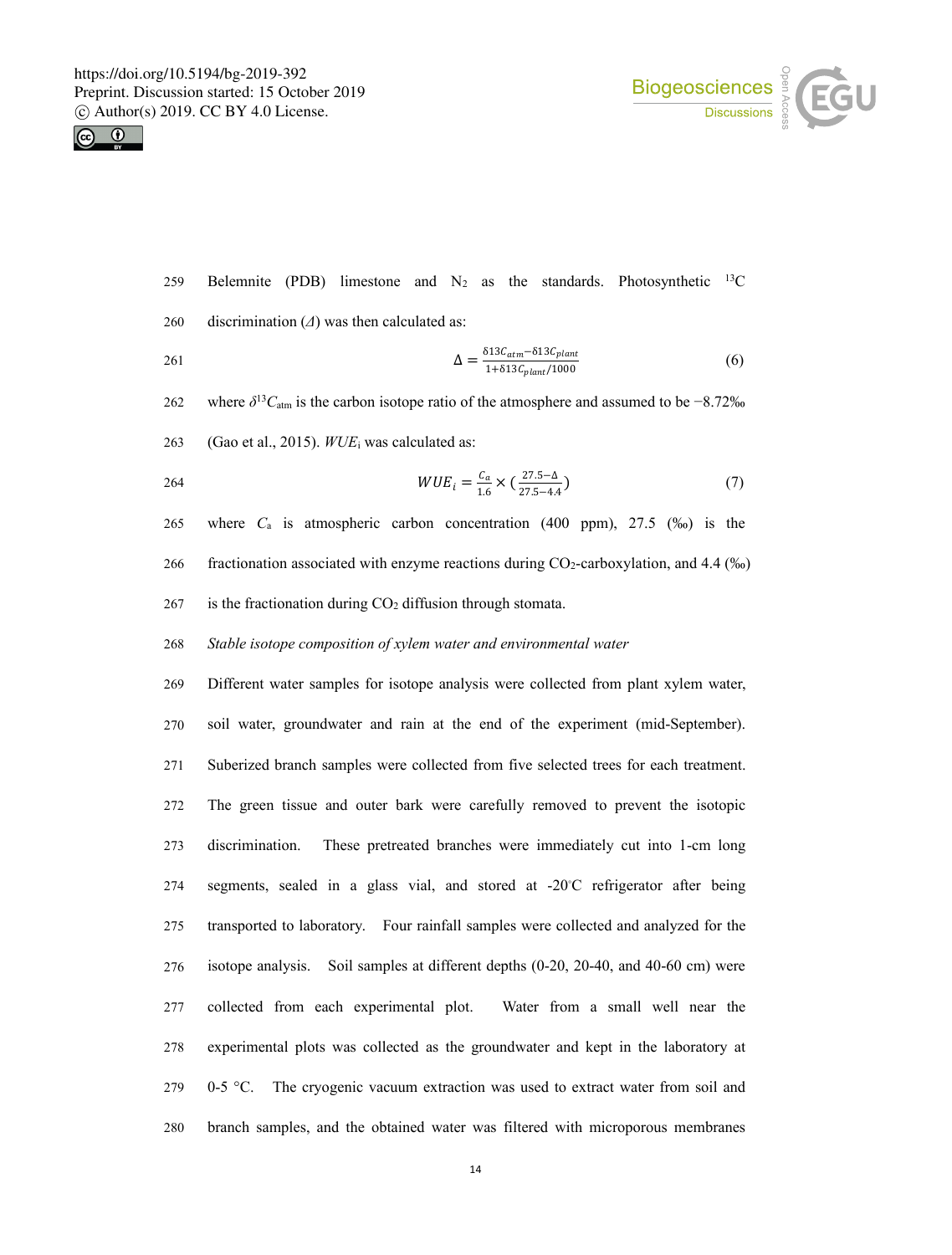



- 259 Belemnite (PDB) limestone and  $N_2$  as the standards. Photosynthetic <sup>13</sup>C  $^{13}C$
- 260 discrimination (*Δ*) was then calculated as:

$$
\Delta = \frac{\delta 13 C_{atm} - \delta 13 C_{plant}}{1 + \delta 13 C_{plant}/1000} \tag{6}
$$

- 262 where  $\delta^{13}C_{\text{atm}}$  is the carbon isotope ratio of the atmosphere and assumed to be  $-8.72\%$
- 263 (Gao et al., 2015). *WUE*<sup>i</sup> was calculated as:

$$
WUE_{i} = \frac{C_{a}}{1.6} \times \left(\frac{27.5 - \Delta}{27.5 - 4.4}\right)
$$
\n(7)

265 where *C*<sup>a</sup> is atmospheric carbon concentration (400 ppm), 27.5 (‰) is the 266 fractionation associated with enzyme reactions during CO2-carboxylation, and 4.4 (‰)

267 is the fractionation during  $CO<sub>2</sub>$  diffusion through stomata.

### 268 *Stable isotope composition of xylem water and environmental water*

 Different water samples for isotope analysis were collected from plant xylem water, soil water, groundwater and rain at the end of the experiment (mid-September). Suberized branch samples were collected from five selected trees for each treatment. The green tissue and outer bark were carefully removed to prevent the isotopic discrimination. These pretreated branches were immediately cut into 1-cm long 274 segments, sealed in a glass vial, and stored at  $-20^{\circ}$ C refrigerator after being transported to laboratory. Four rainfall samples were collected and analyzed for the isotope analysis. Soil samples at different depths (0-20, 20-40, and 40-60 cm) were collected from each experimental plot. Water from a small well near the experimental plots was collected as the groundwater and kept in the laboratory at 0-5 °C. The cryogenic vacuum extraction was used to extract water from soil and branch samples, and the obtained water was filtered with microporous membranes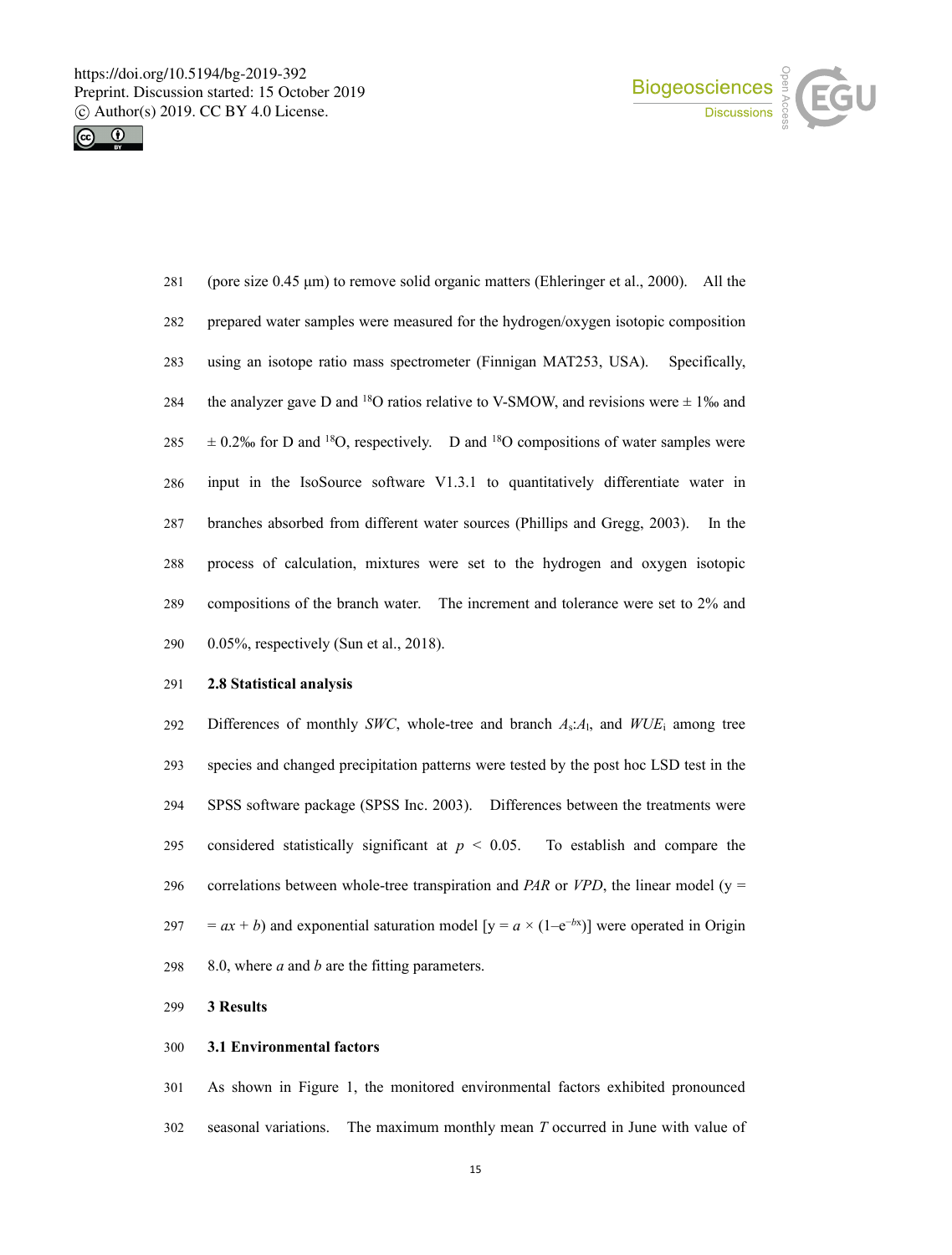



 (pore size 0.45 μm) to remove solid organic matters (Ehleringer et al., 2000). All the prepared water samples were measured for the hydrogen/oxygen isotopic composition using an isotope ratio mass spectrometer (Finnigan MAT253, USA). Specifically, 284 the analyzer gave D and <sup>18</sup>O ratios relative to V-SMOW, and revisions were  $\pm$  1‰ and  $\pm$  0.2‰ for D and <sup>18</sup>O, respectively. D and <sup>18</sup>O compositions of water samples were input in the IsoSource software V1.3.1 to quantitatively differentiate water in branches absorbed from different water sources (Phillips and Gregg, 2003). In the 288 process of calculation, mixtures were set to the hydrogen and oxygen isotopic compositions of the branch water. The increment and tolerance were set to 2% and 0.05%, respectively (Sun et al., 2018).

## **2.8 Statistical analysis**

292 Differences of monthly *SWC*, whole-tree and branch  $A_s$ : $A_l$ , and  $WUE_i$  among tree species and changed precipitation patterns were tested by the post hoc LSD test in the SPSS software package (SPSS Inc. 2003). Differences between the treatments were 295 considered statistically significant at  $p < 0.05$ . To establish and compare the correlations between whole-tree transpiration and *PAR* or *VPD*, the linear model (y =  $= ax + b$ ) and exponential saturation model [y =  $a \times (1-e^{-bx})$ ] were operated in Origin 8.0, where *a* and *b* are the fitting parameters.

### **3 Results**

### **3.1 Environmental factors**

 As shown in Figure 1, the monitored environmental factors exhibited pronounced seasonal variations. The maximum monthly mean *T* occurred in June with value of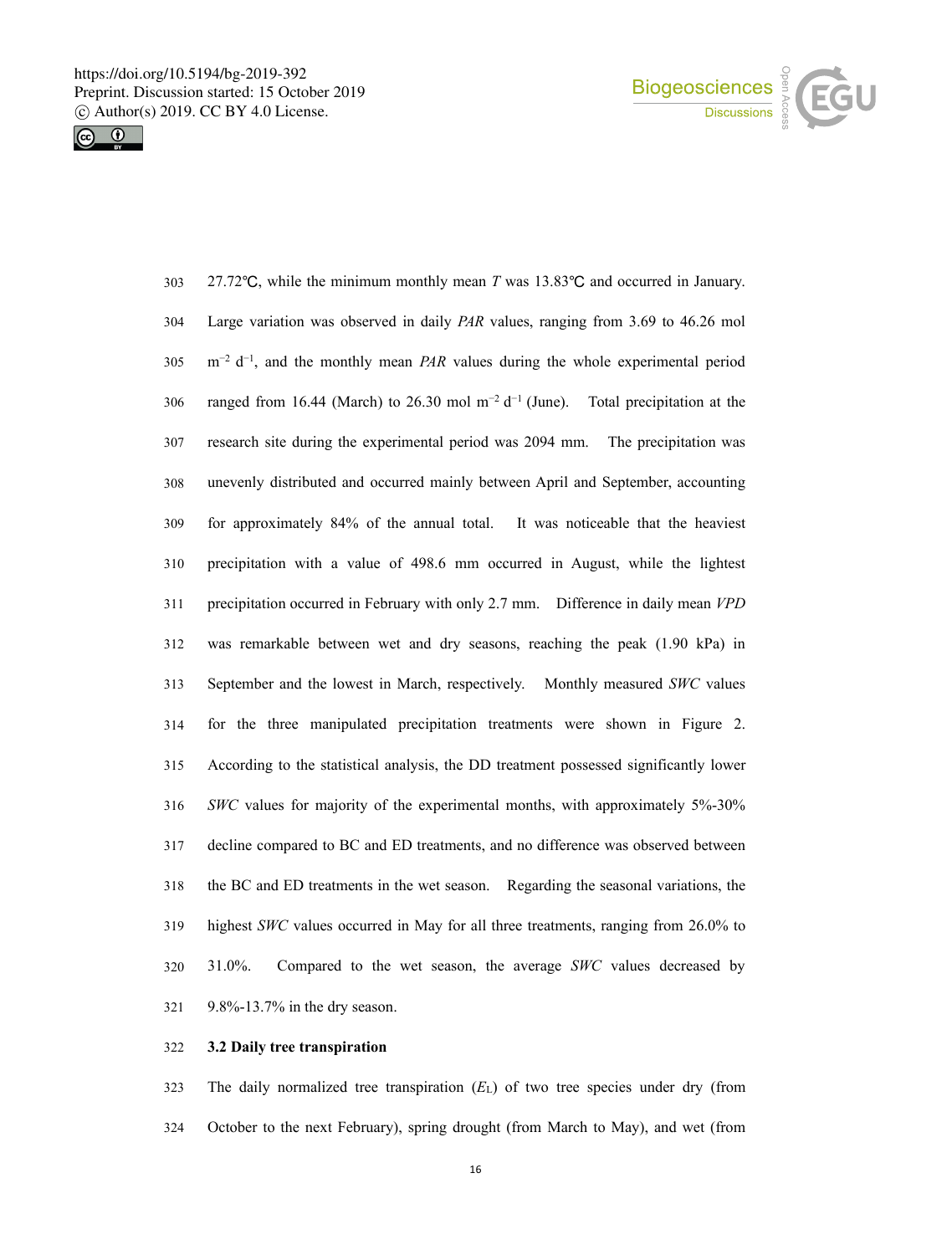



| 303 | 27.72°C, while the minimum monthly mean T was $13.83^{\circ}$ C and occurred in January.               |
|-----|--------------------------------------------------------------------------------------------------------|
| 304 | Large variation was observed in daily PAR values, ranging from 3.69 to 46.26 mol                       |
| 305 | $m^{-2}$ d <sup>-1</sup> , and the monthly mean <i>PAR</i> values during the whole experimental period |
| 306 | ranged from 16.44 (March) to 26.30 mol $m^{-2} d^{-1}$ (June). Total precipitation at the              |
| 307 | research site during the experimental period was 2094 mm. The precipitation was                        |
| 308 | unevenly distributed and occurred mainly between April and September, accounting                       |
| 309 | for approximately 84% of the annual total. It was noticeable that the heaviest                         |
| 310 | precipitation with a value of 498.6 mm occurred in August, while the lightest                          |
| 311 | precipitation occurred in February with only 2.7 mm. Difference in daily mean VPD                      |
| 312 | was remarkable between wet and dry seasons, reaching the peak (1.90 kPa) in                            |
| 313 | September and the lowest in March, respectively. Monthly measured SWC values                           |
| 314 | for the three manipulated precipitation treatments were shown in Figure 2.                             |
| 315 | According to the statistical analysis, the DD treatment possessed significantly lower                  |
| 316 | SWC values for majority of the experimental months, with approximately 5%-30%                          |
| 317 | decline compared to BC and ED treatments, and no difference was observed between                       |
| 318 | the BC and ED treatments in the wet season. Regarding the seasonal variations, the                     |
| 319 | highest SWC values occurred in May for all three treatments, ranging from 26.0% to                     |
| 320 | 31.0%.<br>Compared to the wet season, the average SWC values decreased by                              |
| 321 | $9.8\% - 13.7\%$ in the dry season.                                                                    |

# **3.2 Daily tree transpiration**

 The daily normalized tree transpiration (*E*L) of two tree species under dry (from October to the next February), spring drought (from March to May), and wet (from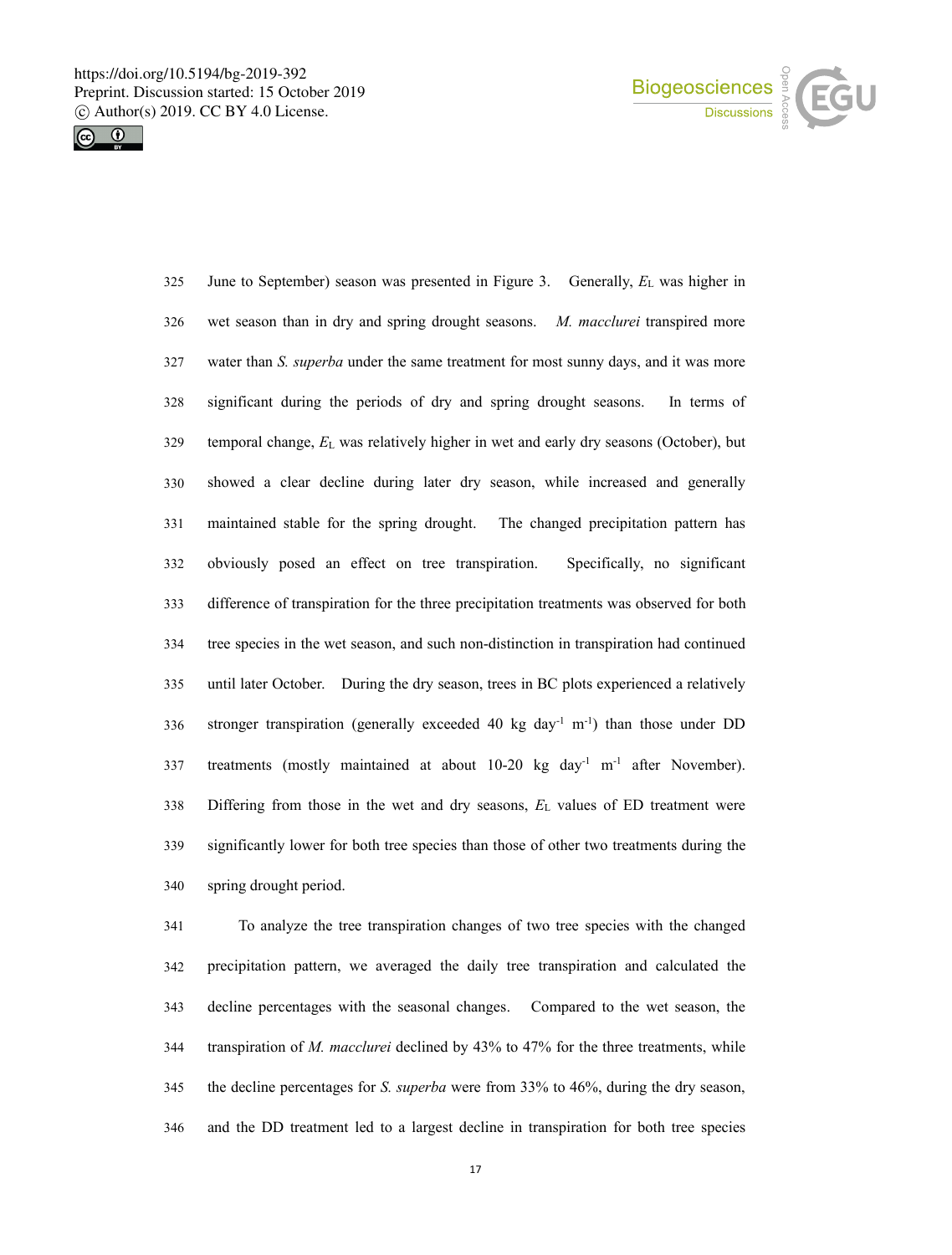



 June to September) season was presented in Figure 3. Generally, *E*<sup>L</sup> was higher in wet season than in dry and spring drought seasons. *M. macclurei* transpired more water than *S. superba* under the same treatment for most sunny days, and it wasmore significant during the periods of dry and spring drought seasons. In terms of temporal change, *E*<sup>L</sup> was relatively higher in wet and early dry seasons (October), but showed a clear decline during later dry season, while increased and generally maintained stable for the spring drought. The changed precipitation pattern has obviously posed an effect on tree transpiration. Specifically, no significant difference of transpiration for the three precipitation treatments was observed for both tree species in the wet season, and such non-distinction in transpiration had continued until later October. During the dry season, trees in BC plots experienced a relatively 336 stronger transpiration (generally exceeded 40 kg day<sup>-1</sup> m<sup>-1</sup>) than those under DD 337 treatments (mostly maintained at about  $10{\text -}20$  kg day<sup>-1</sup> m<sup>-1</sup> after November). Differing from those in the wet and dry seasons, *E*<sup>L</sup> values of ED treatment were significantly lower for both tree species than those of other two treatments during the spring drought period.

 To analyze the tree transpiration changes of two tree species with the changed precipitation pattern, we averaged the daily tree transpiration and calculated the decline percentages with the seasonal changes. Compared to the wet season, the transpiration of *M. macclurei* declined by 43% to 47% for the three treatments, while the decline percentages for *S. superba* were from 33% to 46%, during the dry season, and the DD treatment led to a largest decline in transpiration for both tree species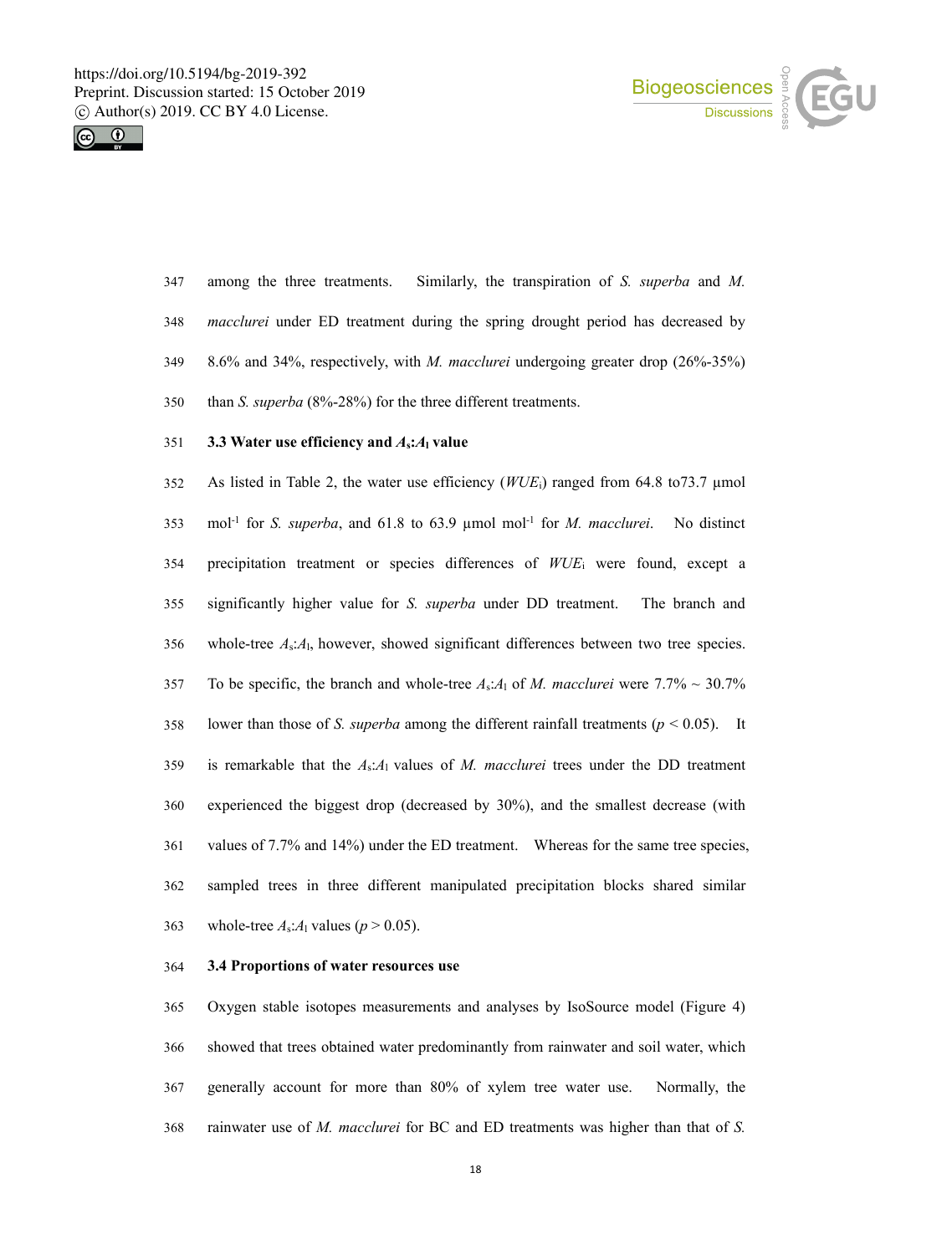



 among the three treatments. Similarly, the transpiration of *S. superba* and *M. macclurei* under ED treatment during the spring drought period has decreased by 8.6% and 34%, respectively, with *M. macclurei* undergoing greater drop (26%-35%) than *S. superba* (8%-28%) for the three different treatments.

## **3.3 Water use efficiency and** *A***s:***A***<sup>l</sup> value**

 As listed in Table 2, the wateruse efficiency (*WUE*i) ranged from 64.8 to73.7 µmol 353 mol<sup>-1</sup> for *S. superba*, and 61.8 to 63.9 µmol mol<sup>-1</sup> for *M. macclurei*. No distinct precipitation treatment or species differences of *WUE*<sup>i</sup> were found, except a significantly higher value for *S. superba* under DD treatment. The branch and whole-tree *A*s:*A*l, however, showed significant differences between two tree species. 357 To be specific, the branch and whole-tree  $A_s:A_1$  of *M. macclurei* were 7.7% ~ 30.7% lower than those of *S. superba* among the different rainfall treatments (*p* < 0.05). It is remarkable that the *A*s:*A*<sup>l</sup> values of *M. macclurei* trees under the DD treatment experienced the biggest drop (decreased by 30%), and the smallest decrease (with values of 7.7% and 14%) under the ED treatment. Whereas for the same tree species, 362 sampled trees in three different manipulated precipitation blocks shared similar 363 whole-tree  $A_s$ : $A_l$  values ( $p > 0.05$ ).

### **3.4 Proportions of water resources use**

 Oxygen stable isotopes measurements and analyses by IsoSource model (Figure 4) showed that trees obtained water predominantly from rainwater and soil water, which generally account for more than 80% of xylem tree water use. Normally, the rainwater use of *M. macclurei* for BC and ED treatments was higher than that of *S.*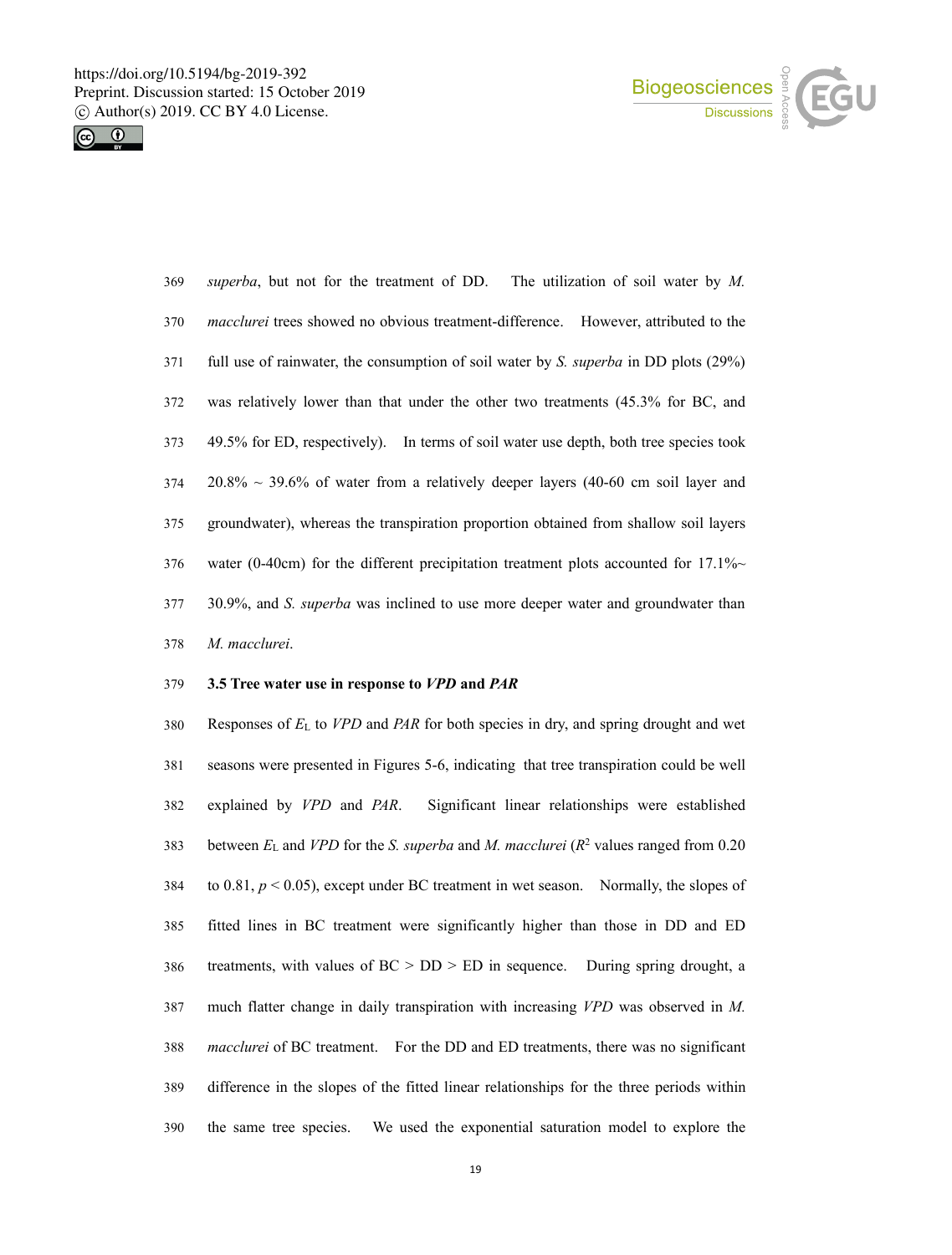



| 369 | <i>superba</i> , but not for the treatment of DD. The utilization of soil water by M.       |
|-----|---------------------------------------------------------------------------------------------|
| 370 | <i>macclurei</i> trees showed no obvious treatment-difference. However, attributed to the   |
| 371 | full use of rainwater, the consumption of soil water by S. <i>superba</i> in DD plots (29%) |
| 372 | was relatively lower than that under the other two treatments (45.3% for BC, and            |
| 373 | 49.5% for ED, respectively). In terms of soil water use depth, both tree species took       |
| 374 | $20.8\% \sim 39.6\%$ of water from a relatively deeper layers (40-60 cm soil layer and      |
| 375 | groundwater), whereas the transpiration proportion obtained from shallow soil layers        |
| 376 | water (0-40cm) for the different precipitation treatment plots accounted for 17.1% $\sim$   |
| 377 | 30.9%, and S. <i>superba</i> was inclined to use more deeper water and groundwater than     |
| 378 | M. macclurei.                                                                               |

### **3.5 Tree water use in response to** *VPD* **and** *PAR*

 Responses of *E*<sup>L</sup> to *VPD* and *PAR* for both species in dry, and spring drought and wet seasons were presented in Figures 5-6, indicating that tree transpiration could be well explained by *VPD* and *PAR*. Significantlinear relationships were established between  $E_L$  and *VPD* for the *S. superba* and *M. macclurei* ( $R^2$  values ranged from 0.20 384 to  $0.81, p \le 0.05$ , except under BC treatment in wet season. Normally, the slopes of fitted lines in BC treatment were significantly higher than those in DD and ED treatments, with values of BC > DD > ED in sequence. During spring drought, a much flatter change in daily transpiration with increasing *VPD* was observed in *M. macclurei* of BC treatment. For the DD and ED treatments, there was no significant difference in the slopes of the fitted linear relationships for the three periods within the same tree species. We used the exponential saturation model to explore the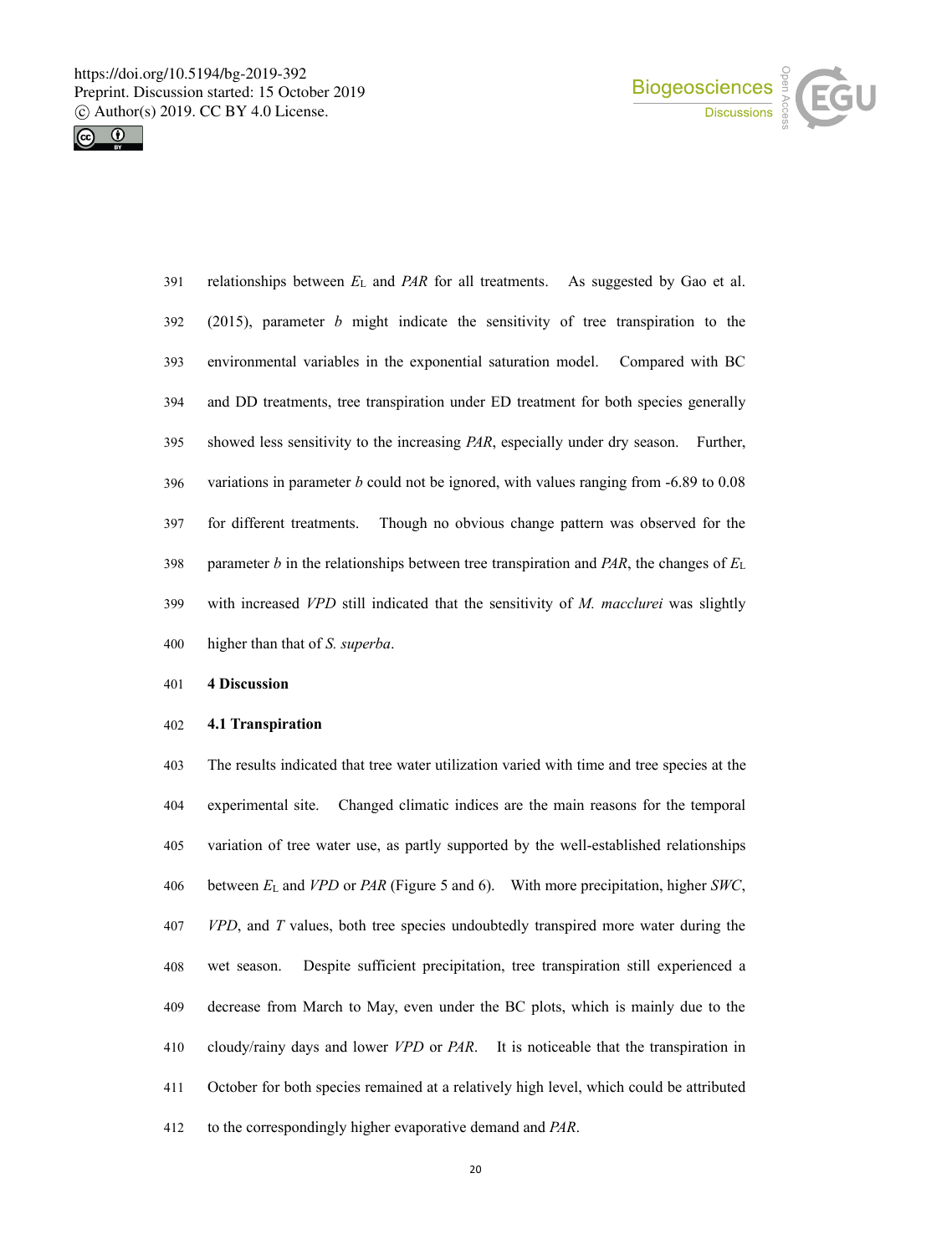



| 391 | relationships between $E_L$ and PAR for all treatments. As suggested by Gao et al.           |
|-----|----------------------------------------------------------------------------------------------|
| 392 | $(2015)$ , parameter b might indicate the sensitivity of tree transpiration to the           |
| 393 | environmental variables in the exponential saturation model. Compared with BC                |
| 394 | and DD treatments, tree transpiration under ED treatment for both species generally          |
| 395 | showed less sensitivity to the increasing <i>PAR</i> , especially under dry season. Further, |
| 396 | variations in parameter b could not be ignored, with values ranging from $-6.89$ to 0.08     |
| 397 | Though no obvious change pattern was observed for the<br>for different treatments.           |
| 398 | parameter b in the relationships between tree transpiration and PAR, the changes of $E_L$    |
| 399 | with increased VPD still indicated that the sensitivity of M. macclurei was slightly         |
| 400 | higher than that of <i>S. superba</i> .                                                      |

# **4 Discussion**

## **4.1 Transpiration**

 The results indicated that tree water utilization varied with time and tree species at the experimental site. Changed climatic indices are the main reasons for the temporal 405 variation of tree water use, as partly supported by the well-established relationships between *E*<sup>L</sup> and *VPD* or *PAR* (Figure 5 and 6). With more precipitation, higher *SWC*, *VPD*, and *T* values, both tree species undoubtedly transpired more water during the wet season. Despite sufficient precipitation, tree transpiration still experienced a decrease from March to May, even under the BC plots, which is mainly due to the cloudy/rainy days and lower *VPD* or *PAR*. It is noticeable that the transpiration in October for both species remained at a relatively high level, which could be attributed to the correspondingly higher evaporative demand and *PAR*.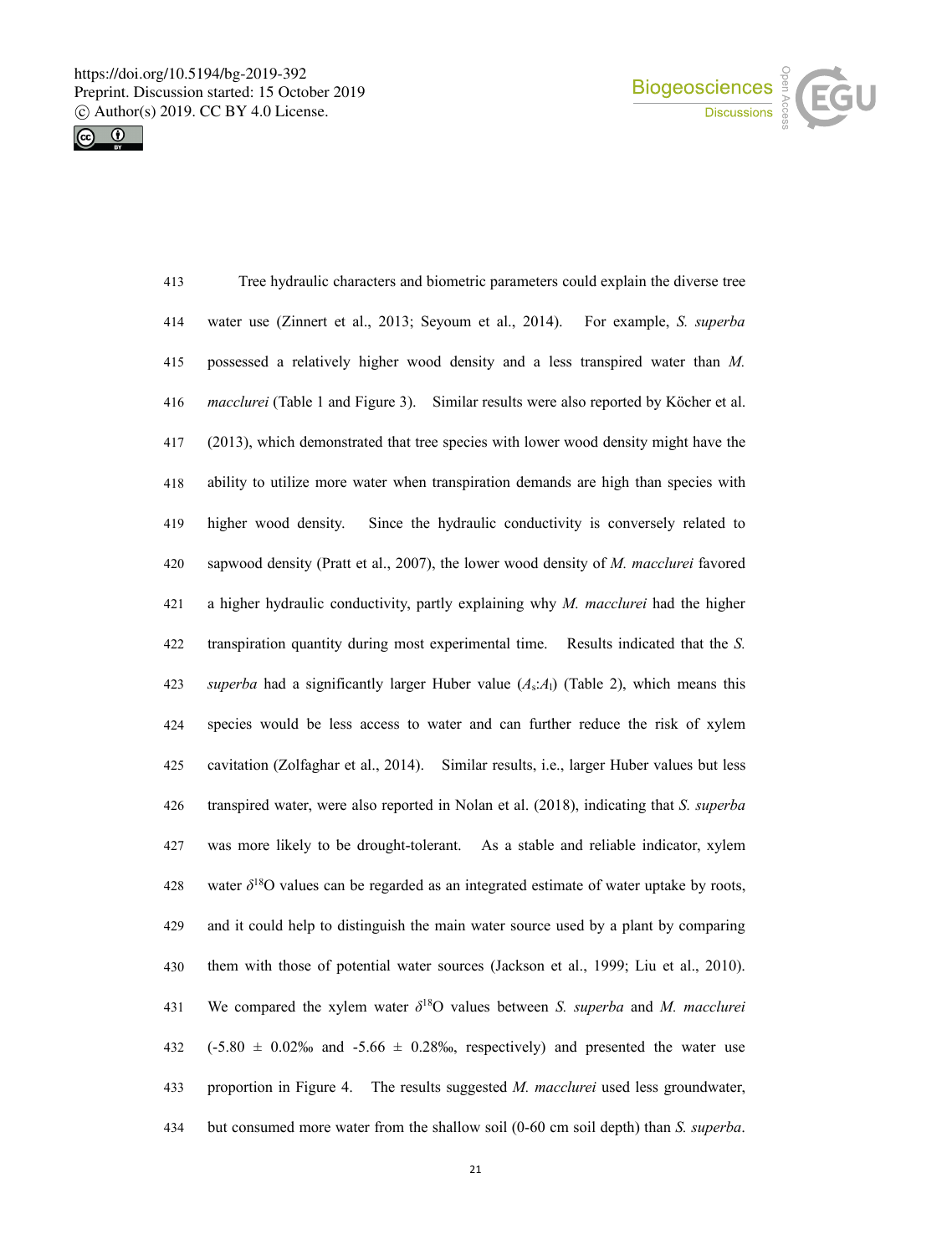



| 413 | Tree hydraulic characters and biometric parameters could explain the diverse tree                   |
|-----|-----------------------------------------------------------------------------------------------------|
| 414 | water use (Zinnert et al., 2013; Seyoum et al., 2014).<br>For example, S. superba                   |
| 415 | possessed a relatively higher wood density and a less transpired water than M.                      |
| 416 | macclurei (Table 1 and Figure 3). Similar results were also reported by Köcher et al.               |
| 417 | (2013), which demonstrated that tree species with lower wood density might have the                 |
| 418 | ability to utilize more water when transpiration demands are high than species with                 |
| 419 | Since the hydraulic conductivity is conversely related to<br>higher wood density.                   |
| 420 | sapwood density (Pratt et al., 2007), the lower wood density of M. macclurei favored                |
| 421 | a higher hydraulic conductivity, partly explaining why $M$ . macclurei had the higher               |
| 422 | transpiration quantity during most experimental time. Results indicated that the S.                 |
| 423 | superba had a significantly larger Huber value $(A_s:A)$ (Table 2), which means this                |
| 424 | species would be less access to water and can further reduce the risk of xylem                      |
| 425 | cavitation (Zolfaghar et al., 2014). Similar results, i.e., larger Huber values but less            |
| 426 | transpired water, were also reported in Nolan et al. (2018), indicating that S. superba             |
| 427 | was more likely to be drought-tolerant. As a stable and reliable indicator, xylem                   |
| 428 | water $\delta^{18}$ O values can be regarded as an integrated estimate of water uptake by roots,    |
| 429 | and it could help to distinguish the main water source used by a plant by comparing                 |
| 430 | them with those of potential water sources (Jackson et al., 1999; Liu et al., 2010).                |
| 431 | We compared the xylem water $\delta^{18}O$ values between <i>S. superba</i> and <i>M. macclurei</i> |
| 432 | $(-5.80 \pm 0.02\%)$ and $-5.66 \pm 0.28\%$ , respectively) and presented the water use             |
| 433 | proportion in Figure 4. The results suggested <i>M. macclurei</i> used less groundwater,            |
| 434 | but consumed more water from the shallow soil (0-60 cm soil depth) than S. superba.                 |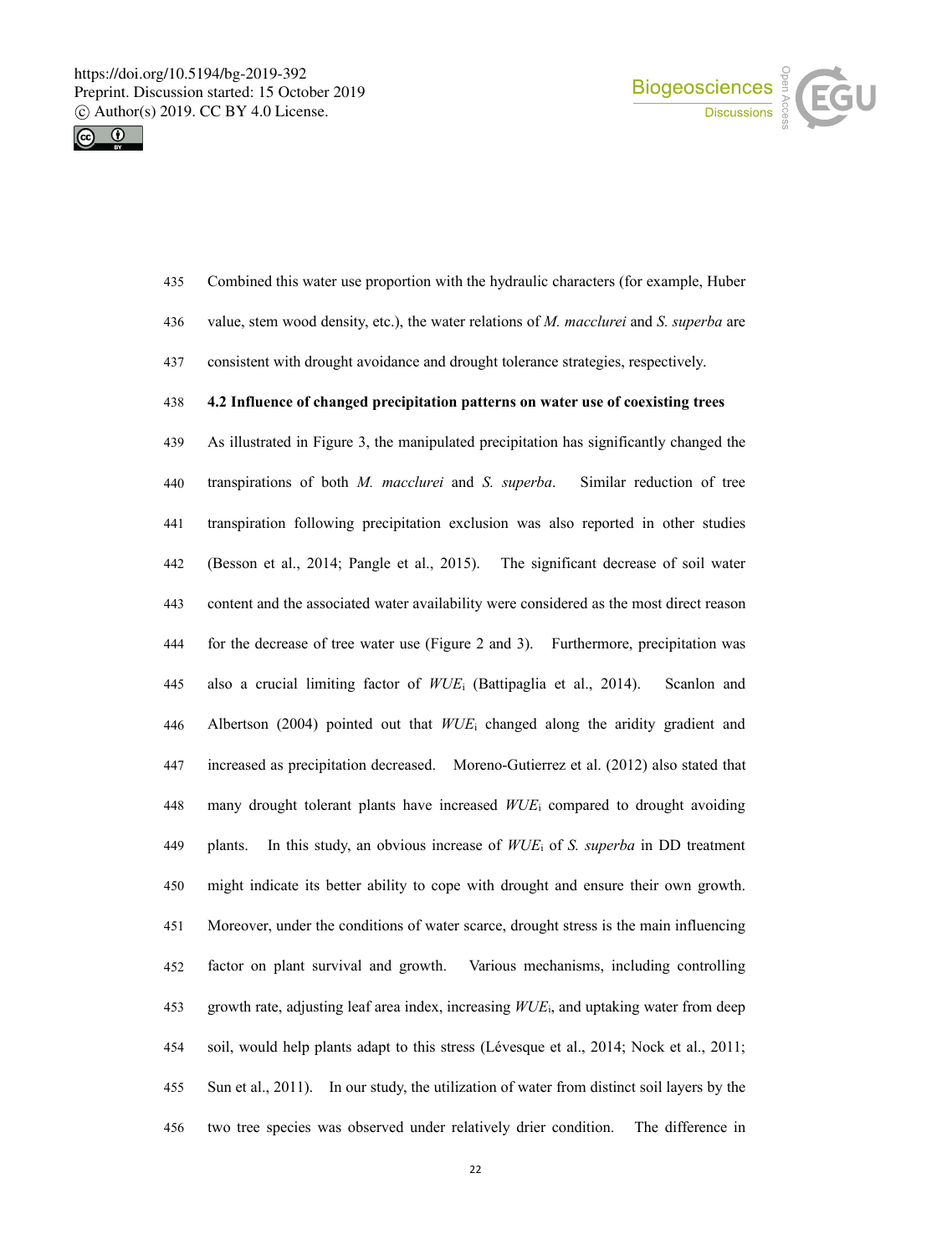



- Combined this water use proportion with the hydraulic characters (for example, Huber
- value, stem wood density, etc.), the water relations of *M. macclurei* and *S. superba* are
- consistent with drought avoidance and drought tolerance strategies, respectively.

# **4.2 Influence of changed precipitation patterns on wateruse of coexisting trees**

 As illustrated in Figure 3, the manipulated precipitation has significantly changed the transpirations of both *M. macclurei* and *S. superba*. Similar reduction of tree transpiration following precipitation exclusion was also reported in other studies (Besson et al., 2014; Pangle et al., 2015). The significant decrease of soil water content and the associated water availability were considered as the most direct reason for the decrease of tree water use (Figure 2 and 3). Furthermore, precipitation was also a crucial limiting factor of *WUE*<sup>i</sup> (Battipaglia et al., 2014). Scanlon and Albertson (2004) pointed out that *WUE*<sup>i</sup> changed along the aridity gradient and increased as precipitation decreased. Moreno-Gutierrez et al. (2012) also stated that many drought tolerant plants have increased *WUE*<sup>i</sup> compared to drought avoiding plants. In this study, an obvious increase of *WUE*<sup>i</sup> of *S. superba* in DD treatment 450 might indicate its better ability to cope with drought and ensure their own growth. Moreover, under the conditions of water scarce, drought stress is the main influencing factor on plant survival and growth. Various mechanisms, including controlling growth rate, adjusting leaf area index, increasing *WUE*i, and uptaking water from deep soil, would help plants adapt to this stress (Lévesque et al., 2014; Nock et al., 2011; Sun et al., 2011). In our study, the utilization of water from distinct soil layers by the two tree species was observed under relatively drier condition. The difference in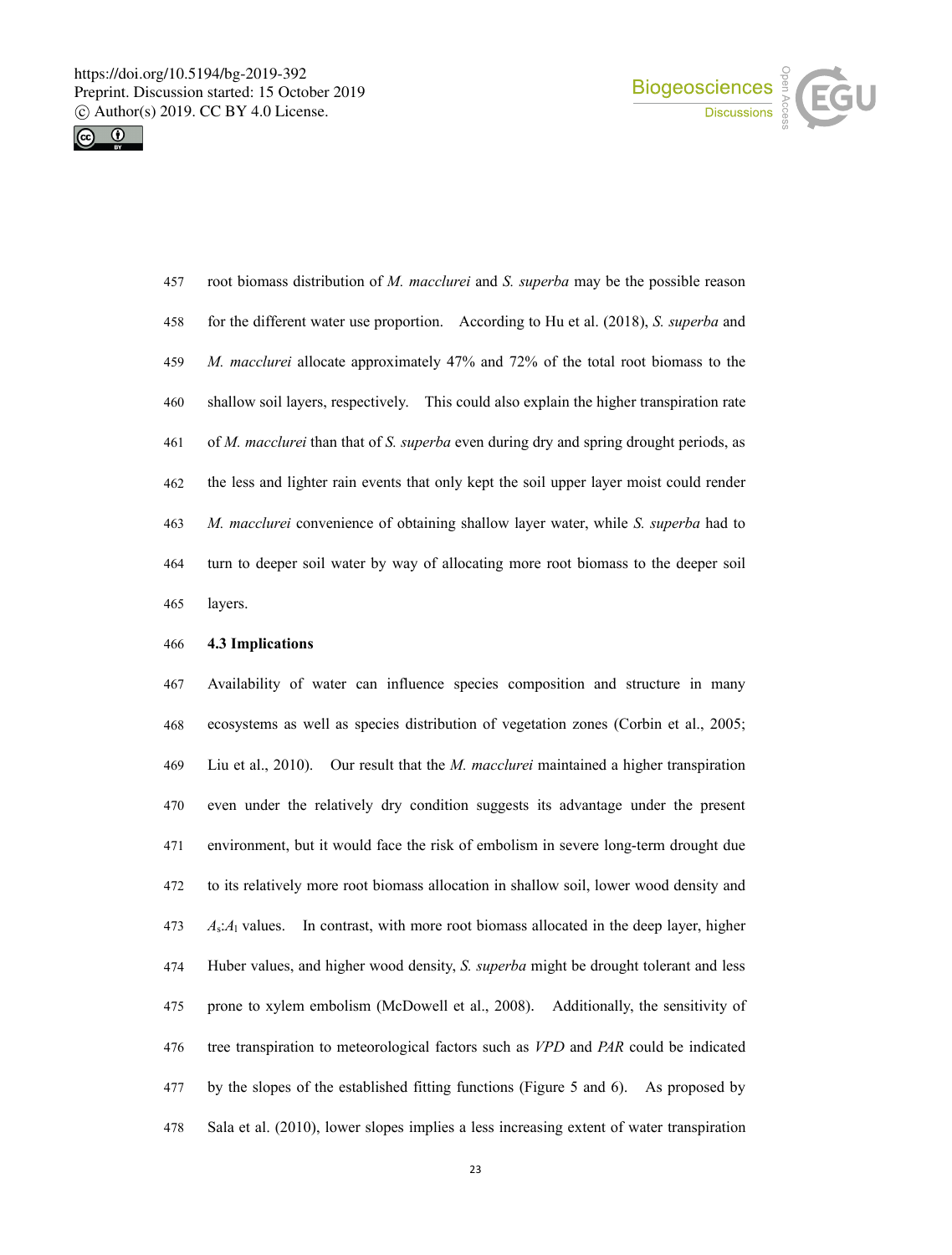



 root biomass distribution of *M. macclurei* and *S. superba* may be the possible reason for the different water use proportion. According to Hu et al. (2018), *S. superba* and *M. macclurei* allocate approximately 47% and 72% of the total root biomass to the shallow soil layers, respectively. This could also explain the higher transpiration rate of *M. macclurei* than that of *S. superba* even during dry and spring drought periods, as the less and lighter rain events that only kept the soilupper layer moist could render *M. macclurei* convenience of obtaining shallow layer water, while *S. superba* had to turn to deeper soil water by way of allocating more root biomass to the deeper soil layers.

#### **4.3 Implications**

 Availability of water can influence species composition and structure in many ecosystems as well as species distribution of vegetation zones(Corbin et al., 2005; Liu et al., 2010). Our result that the *M. macclurei* maintained a higher transpiration even under the relatively dry condition suggests its advantage under the present environment, but it would face the risk of embolism in severe long-term drought due to its relatively more root biomass allocation in shallow soil, lower wood density and *A*s:*A*<sup>l</sup> values. In contrast, with more root biomass allocated in the deep layer, higher Huber values, and higher wood density, *S. superba* might be drought tolerant and less prone to xylem embolism (McDowell et al., 2008). Additionally, the sensitivity of tree transpiration to meteorological factors such as *VPD* and *PAR* could beindicated by the slopes of the established fitting functions (Figure 5 and 6). As proposed by Sala et al. (2010), lower slopes implies a less increasing extent ofwater transpiration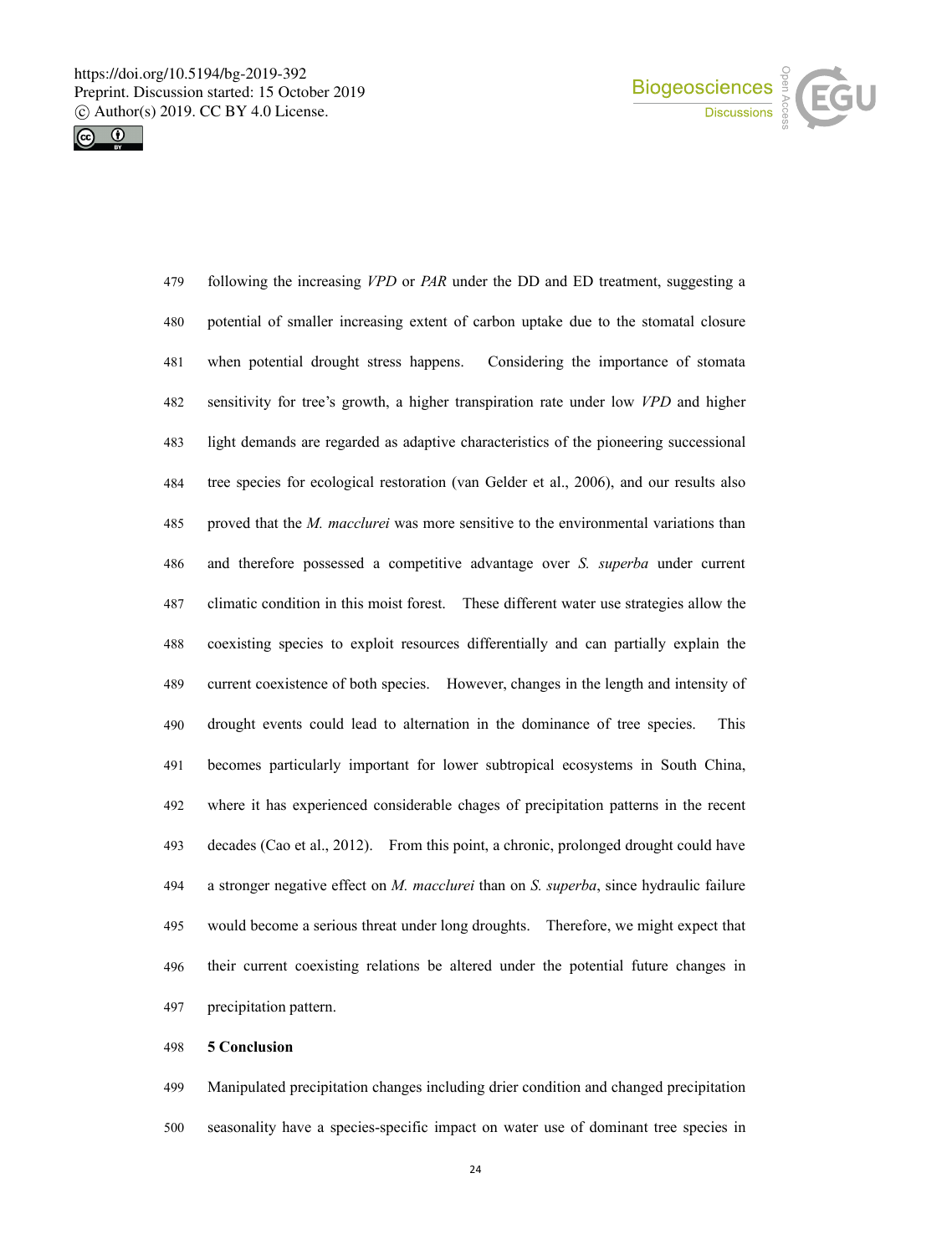



 following the increasing *VPD* or *PAR* under the DD and ED treatment, suggesting a potential of smaller increasing extent of carbon uptake due to the stomatal closure when potential drought stress happens. Considering the importance of stomata sensitivity for tree's growth, a higher transpiration rate under low *VPD* and higher light demands are regarded as adaptive characteristics of the pioneering successional tree species for ecological restoration (van Gelder et al., 2006), and our results also proved that the *M. macclurei* was more sensitive to the environmental variations than and therefore possessed a competitive advantage over *S. superba* under current climatic condition in this moistforest. These different water use strategies allow the coexisting species to exploit resources differentially and can partially explain the current coexistence of both species. However, changes in the length and intensity of drought events could lead to alternation in the dominance of tree species. This becomes particularly important for lower subtropical ecosystems in South China, where it has experienced considerable chages of precipitation patterns in the recent decades (Cao et al., 2012). From this point, a chronic, prolonged drought could have a stronger negative effect on *M. macclurei* than on *S. superba*, since hydraulic failure would become a serious threat under long droughts. Therefore, we might expect that 496 their current coexisting relations be altered under the potential future changes in precipitation pattern.

#### **5 Conclusion**

 Manipulated precipitation changes including drier condition and changed precipitation seasonality have a species-specific impact on water use of dominant tree species in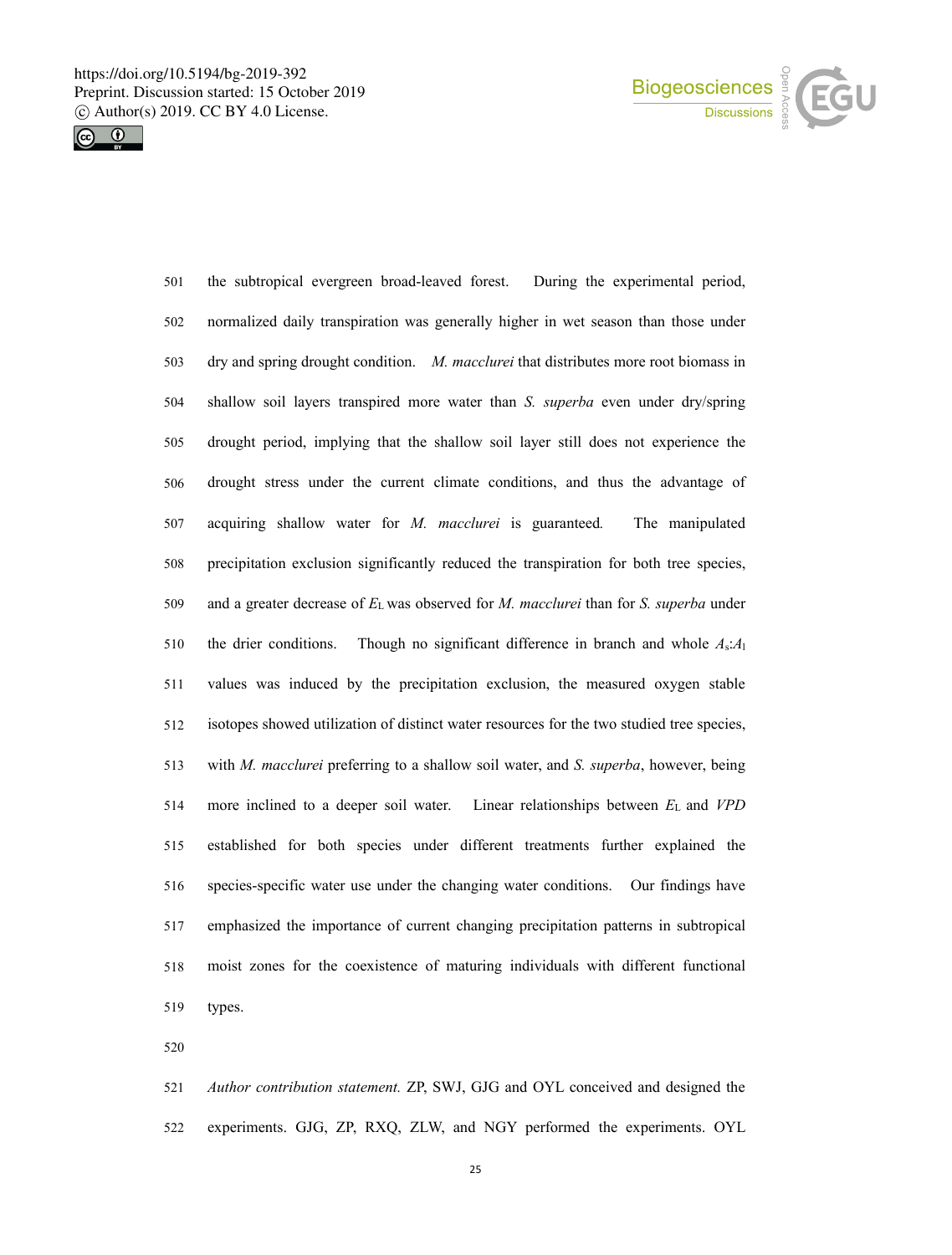



 normalized daily transpiration was generally higher in wet season than those under dry and spring drought condition. *M. macclurei* that distributes more root biomass in shallow soil layers transpired more water than *S. superba* even under dry/spring drought period, implying that the shallow soil layer still does not experience the drought stress under the current climate conditions, and thus the advantage of acquiring shallow water for *M. macclurei* is guaranteed*.* The manipulated precipitation exclusion significantly reduced the transpiration for both tree species, and a greater decrease of *E*<sup>L</sup> was observed for *M. macclurei* than for *S. superba* under the drier conditions. Though no significant difference in branch and whole *A*s:*A*<sup>l</sup> values was induced by the precipitation exclusion, the measured oxygen stable isotopes showed utilization of distinct water resources for the two studied tree species, with *M. macclurei* preferring to a shallow soil water, and *S. superba*, however, being more inclined to a deeper soil water. Linear relationships between *E*<sup>L</sup> and *VPD* established for both species under different treatments further explained the 516 species-specific water use under the changing water conditions. Our findings have emphasized the importance of current changing precipitation patterns in subtropical moist zones for the coexistence of maturing individuals with different functional types.

the subtropical evergreen broad-leaved forest. During the experimental period,

 *Author contribution statement.* ZP, SWJ, GJG and OYL conceived and designed the experiments. GJG, ZP, RXQ, ZLW, and NGY performed the experiments. OYL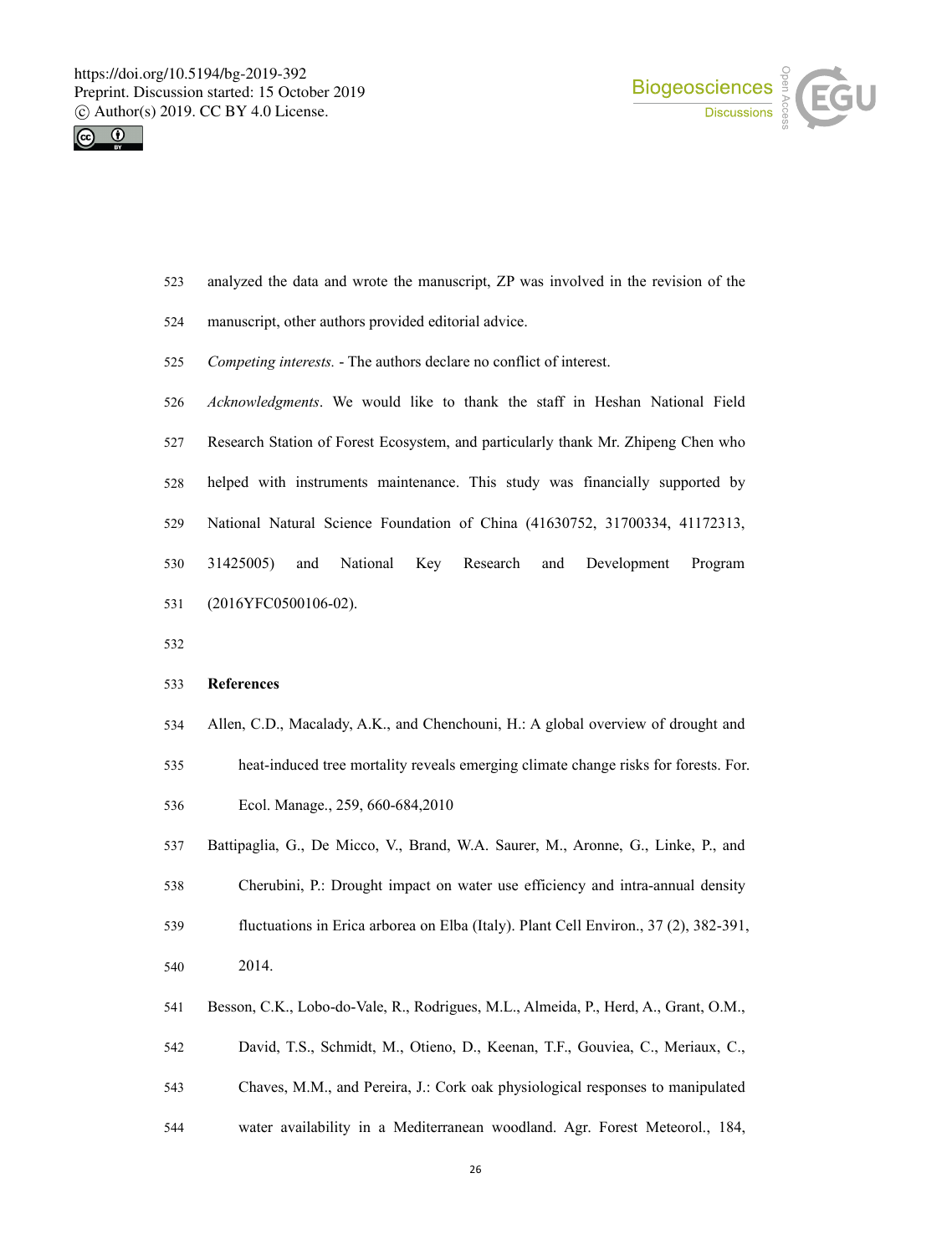



- analyzed the data and wrote the manuscript, ZP was involved in the revision of the
- manuscript, other authors provided editorial advice.
- *Competing interests.* The authors declare no conflict of interest.
- *Acknowledgments*. We would like to thank the staff in Heshan National Field Research Station of Forest Ecosystem, and particularly thank Mr. Zhipeng Chen who helped with instruments maintenance. This study was financially supported by National Natural Science Foundation of China (41630752, 31700334, 41172313, 31425005) and National Key Research and Development Program (2016YFC0500106-02).
- 

### **References**

Allen, C.D., Macalady, A.K., and Chenchouni, H.: A global overview of drought and

 heat-induced tree mortality reveals emerging climate change risks for forests. For. Ecol. Manage., 259, 660-684,2010

- Battipaglia, G., De Micco, V., Brand, W.A. Saurer, M., Aronne, G., Linke, P., and
- Cherubini, P.: Drought impact on water use efficiency and intra-annualdensity
- fluctuations in Erica arborea on Elba (Italy). Plant Cell Environ., 37 (2), 382-391, 2014.
- Besson, C.K., Lobo-do-Vale, R., Rodrigues, M.L., Almeida, P., Herd, A., Grant, O.M.,
- David, T.S., Schmidt, M., Otieno, D., Keenan, T.F., Gouviea, C., Meriaux, C.,
- Chaves, M.M., and Pereira, J.: Cork oak physiological responses to manipulated
- water availability in a Mediterranean woodland. Agr. Forest Meteorol., 184,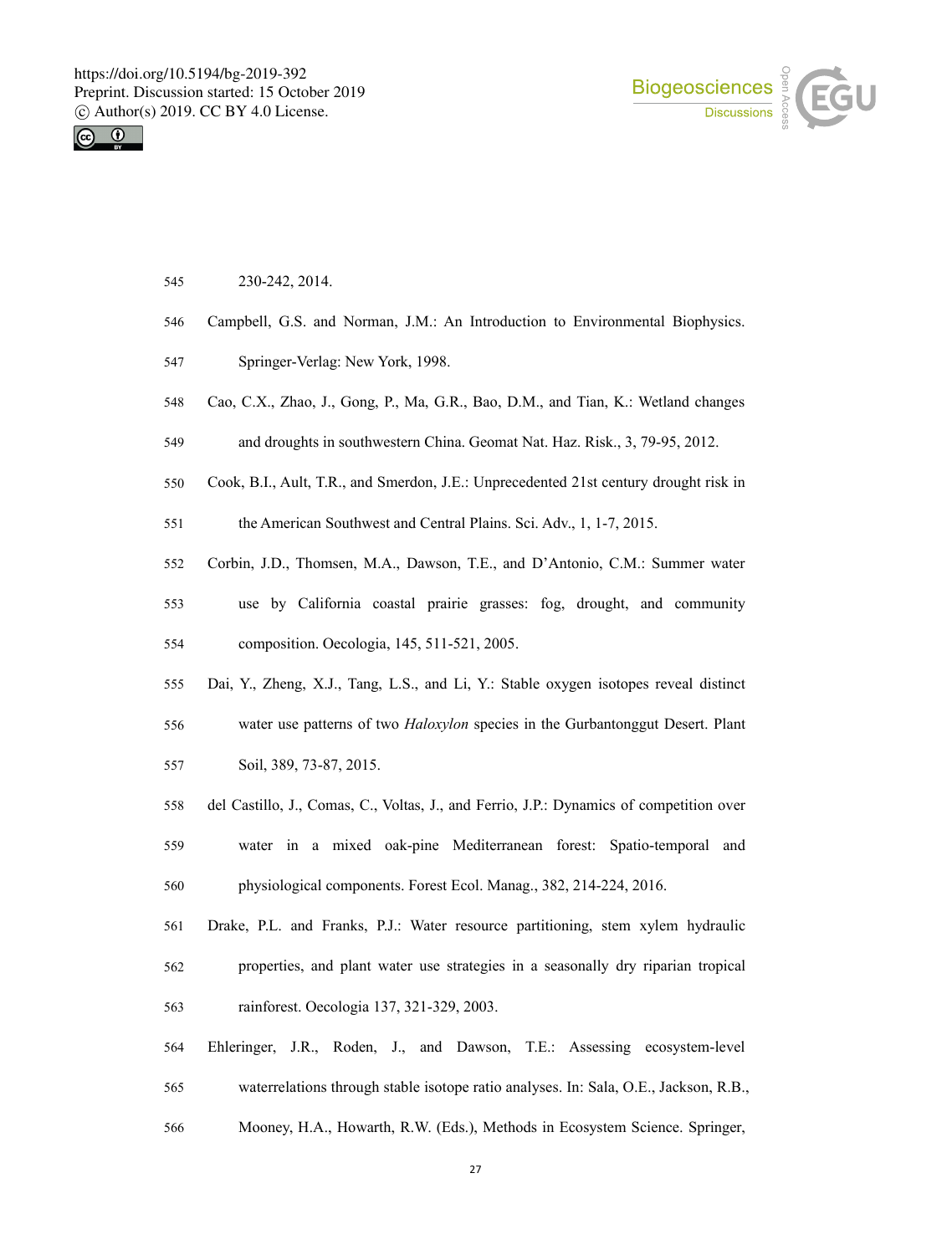



- 230-242, 2014.
- Campbell, G.S. and Norman, J.M.: An Introduction to Environmental Biophysics.
- Springer-Verlag: New York, 1998.
- Cao, C.X., Zhao, J., Gong, P., Ma, G.R., Bao, D.M., and Tian, K.: Wetland changes
- and droughts in southwestern China. Geomat Nat. Haz. Risk., 3, 79-95, 2012.
- Cook, B.I., Ault, T.R., and Smerdon, J.E.: Unprecedented 21st century drought risk in

the American Southwest and Central Plains. Sci. Adv., 1, 1-7, 2015.

- Corbin, J.D., Thomsen, M.A., Dawson, T.E., and D'Antonio, C.M.: Summer water
- use by California coastal prairie grasses:fog, drought, and community composition. Oecologia, 145, 511-521, 2005.
- Dai, Y., Zheng, X.J., Tang, L.S., and Li, Y.: Stable oxygen isotopes reveal distinct
- water use patterns of two *Haloxylon* species in the Gurbantonggut Desert. Plant Soil, 389, 73-87, 2015.
- del Castillo, J., Comas, C., Voltas, J., and Ferrio, J.P.: Dynamics of competition over
- water in amixed oak-pine Mediterranean forest: Spatio-temporal and physiological components. Forest Ecol. Manag., 382, 214-224, 2016.
- Drake, P.L. and Franks, P.J.: Water resource partitioning, stem xylem hydraulic properties, and plant water use strategies in a seasonally dry riparian tropical rainforest. Oecologia 137, 321-329, 2003.
- Ehleringer, J.R., Roden, J., and Dawson, T.E.: Assessing ecosystem-level
- waterrelations through stable isotope ratio analyses. In:Sala, O.E., Jackson, R.B.,
- Mooney, H.A., Howarth, R.W. (Eds.), Methods in Ecosystem Science. Springer,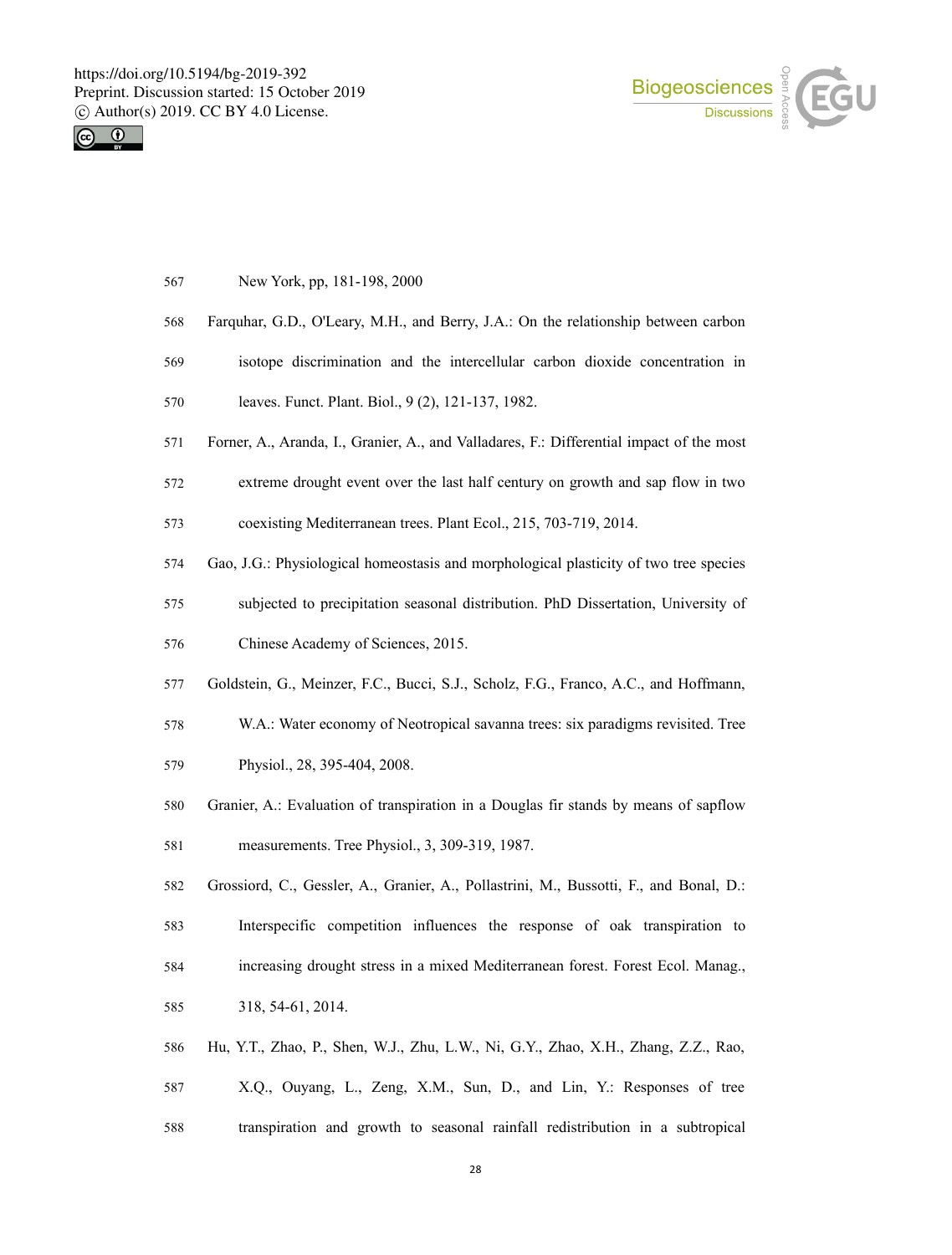



- New York, pp, 181-198, 2000
- Farquhar, G.D., O'Leary, M.H., and Berry, J.A.: On the relationship between carbon
- isotope discrimination and the intercellular carbon dioxide concentration in
- leaves. Funct. Plant. Biol., 9 (2), 121-137, 1982.
- Forner, A., Aranda, I., Granier, A., and Valladares, F.: Differential impact of the most
- extreme drought event over the last half century on growth and sap flow in two

coexisting Mediterranean trees. Plant Ecol., 215, 703-719, 2014.

- Gao, J.G.: Physiological homeostasis and morphological plasticity of two tree species
- subjected to precipitation seasonal distribution. PhD Dissertation, University of
- Chinese Academy of Sciences, 2015.
- Goldstein, G., Meinzer, F.C., Bucci, S.J., Scholz, F.G., Franco, A.C., and Hoffmann,
- W.A.: Water economy of Neotropical savanna trees: six paradigms revisited. Tree
- Physiol., 28, 395-404, 2008.
- Granier, A.: Evaluation of transpiration in a Douglas firstands by means of sapflow
- measurements. Tree Physiol., 3, 309-319, 1987.
- Grossiord, C., Gessler, A., Granier, A., Pollastrini, M., Bussotti, F., and Bonal, D.:
- Interspecific competition influences the response of oak transpiration to
- increasing drought stress in a mixed Mediterranean forest. Forest Ecol. Manag.,
- 318, 54-61, 2014.
- Hu, Y.T., Zhao, P., Shen, W.J., Zhu, L.W., Ni, G.Y., Zhao, X.H., Zhang, Z.Z., Rao,
- X.Q., Ouyang, L., Zeng, X.M., Sun, D., and Lin, Y.: Responses of tree
- transpiration and growth to seasonal rainfall redistribution in a subtropical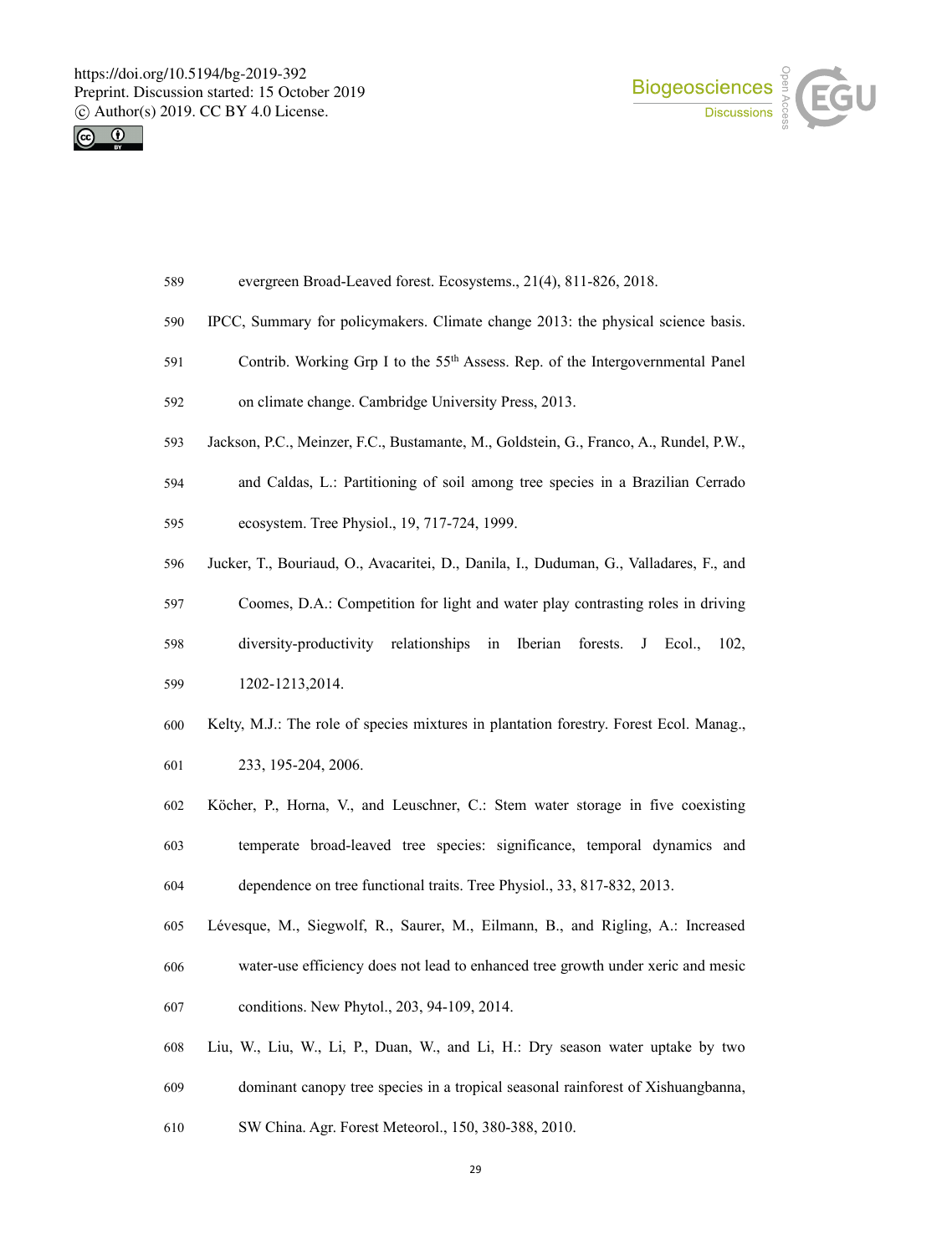



- evergreen Broad-Leaved forest. Ecosystems., 21(4), 811-826, 2018.
- IPCC, Summary for policymakers. Climate change 2013: the physical science basis.
- 591 Contrib. Working Grp I to the  $55<sup>th</sup>$  Assess. Rep. of the Intergovernmental Panel
- on climate change. Cambridge University Press, 2013.
- Jackson, P.C., Meinzer, F.C., Bustamante, M., Goldstein, G., Franco, A., Rundel, P.W.,
- and Caldas, L.: Partitioning of soil among tree species in a Brazilian Cerrado
- ecosystem. Tree Physiol., 19, 717-724, 1999.
- Jucker, T., Bouriaud, O., Avacaritei, D., Danila, I., Duduman, G., Valladares, F., and
- Coomes, D.A.: Competition for light and water play contrasting roles in driving
- diversity-productivity relationships in Iberian forests. J Ecol., 102,
- 1202-1213,2014.
- Kelty, M.J.: The role of species mixtures in plantation forestry. Forest Ecol. Manag.,
- 233, 195-204, 2006.
- Köcher, P., Horna, V., and Leuschner, C.: Stem water storage in five coexisting
- temperate broad-leaved tree species:significance, temporal dynamics and
- dependence on tree functional traits. Tree Physiol., 33, 817-832, 2013.
- Lévesque, M., Siegwolf, R., Saurer, M., Eilmann, B., and Rigling, A.: Increased water-use efficiency does not lead to enhanced tree growth under xeric and mesic conditions. New Phytol., 203, 94-109, 2014.
- Liu, W., Liu, W., Li, P., Duan, W., and Li, H.: Dry season water uptake by two
- dominant canopy tree species in a tropical seasonal rainforest of Xishuangbanna,
- SW China. Agr. Forest Meteorol., 150, 380-388, 2010.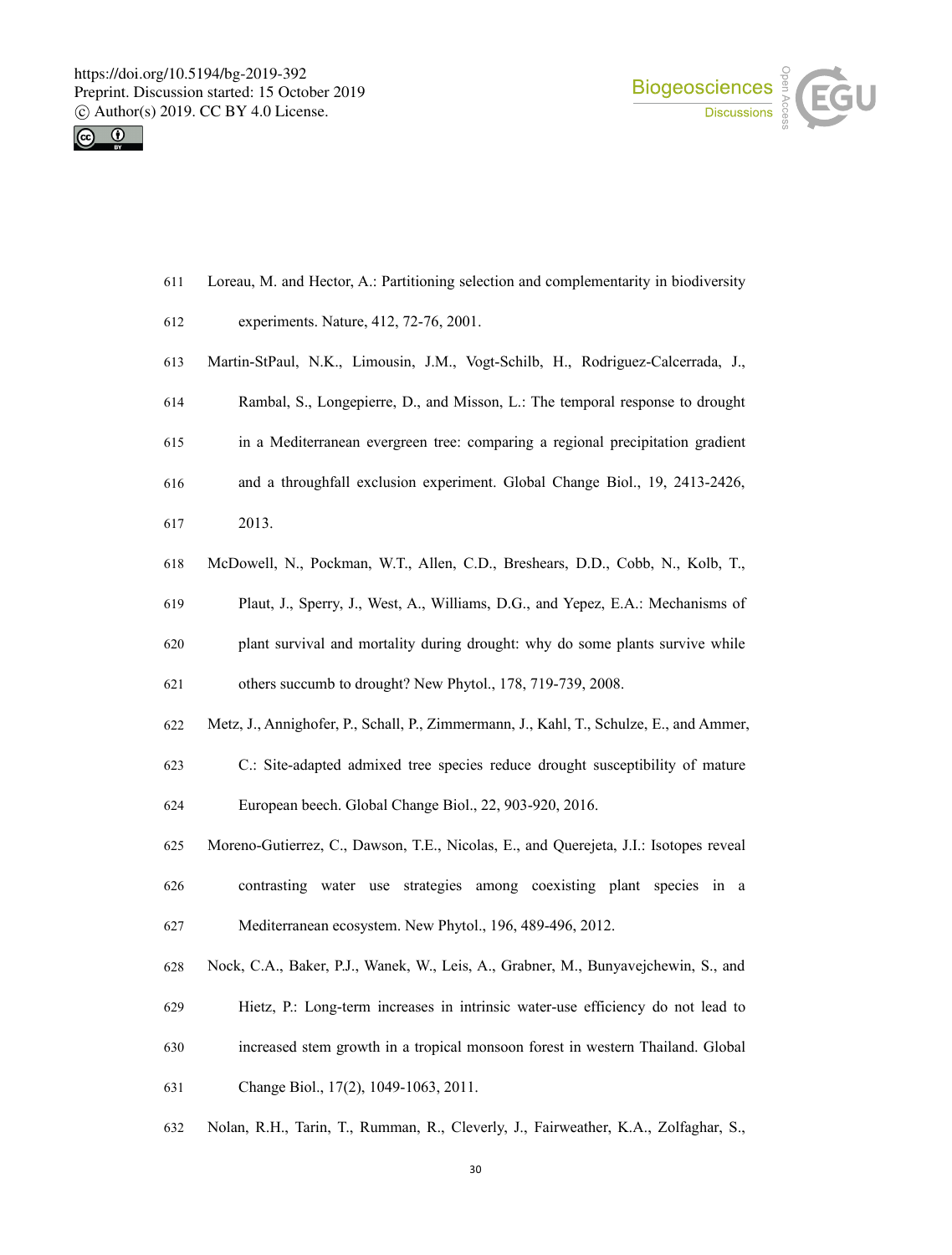



- Loreau, M. and Hector, A.: Partitioning selection and complementarity in biodiversity
- experiments. Nature, 412, 72-76, 2001.
- Martin-StPaul, N.K., Limousin, J.M., Vogt-Schilb, H., Rodriguez-Calcerrada, J.,
- 614 Rambal, S., Longepierre, D., and Misson, L.: The temporal response to drought
- in a Mediterranean evergreen tree: comparing a regional precipitation gradient
- and a throughfall exclusion experiment. Global Change Biol., 19, 2413-2426,
- 2013.
- McDowell, N., Pockman, W.T., Allen, C.D., Breshears, D.D., Cobb, N., Kolb, T.,
- Plaut, J., Sperry, J., West, A., Williams, D.G., and Yepez, E.A.: Mechanisms of
- plant survival and mortality during drought: why do some plants survive while

others succumb to drought? New Phytol., 178, 719-739, 2008.

- Metz, J., Annighofer, P., Schall, P., Zimmermann, J., Kahl, T., Schulze, E., and Ammer,
- C.: Site-adapted admixed tree species reduce drought susceptibility of mature European beech. Global Change Biol., 22, 903-920, 2016.
- Moreno-Gutierrez, C., Dawson, T.E., Nicolas, E., and Querejeta, J.I.: Isotopes reveal
- contrasting water use strategies among coexisting plant species in a Mediterranean ecosystem. New Phytol., 196, 489-496, 2012.
- Nock, C.A., Baker, P.J., Wanek, W., Leis, A., Grabner, M., Bunyavejchewin, S., and
- 
- Hietz, P.: Long-term increases in intrinsic water-use efficiency do not lead to
- increased stem growth in a tropicalmonsoon forest in western Thailand. Global
- Change Biol., 17(2), 1049-1063, 2011.
- Nolan, R.H., Tarin, T., Rumman, R., Cleverly, J., Fairweather, K.A., Zolfaghar, S.,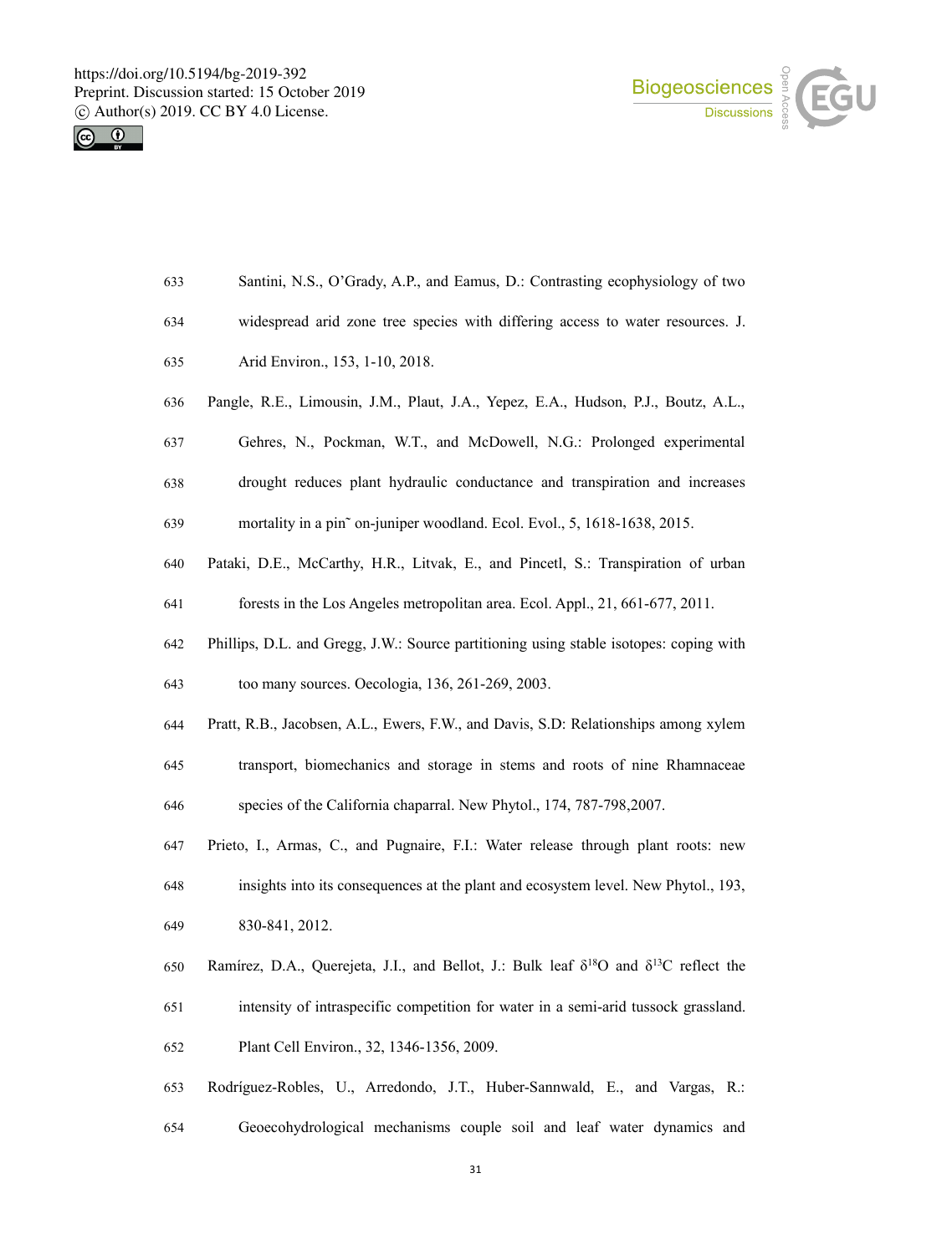



- Santini, N.S., O'Grady, A.P., and Eamus, D.: Contrasting ecophysiology of two
- widespread arid zone tree species with differing access to water resources. J.
- Arid Environ., 153,1-10, 2018.
- Pangle,R.E., Limousin, J.M., Plaut, J.A., Yepez, E.A., Hudson, P.J., Boutz, A.L.,
- Gehres, N., Pockman, W.T., and McDowell, N.G.: Prolonged experimental
- drought reduces plant hydraulic conductance and transpiration and increases

mortality in a pin˜ on-juniper woodland. Ecol. Evol., 5, 1618-1638, 2015.

- Pataki, D.E., McCarthy, H.R., Litvak, E., and Pincetl, S.: Transpiration of urban
- forests in the Los Angeles metropolitan area. Ecol. Appl., 21, 661-677, 2011.
- Phillips, D.L. and Gregg, J.W.: Source partitioning using stable isotopes:coping with
- too many sources.Oecologia, 136, 261-269, 2003.
- Pratt, R.B., Jacobsen, A.L., Ewers, F.W., and Davis, S.D: Relationships among xylem
- transport, biomechanics and storage in stems and roots ofnine Rhamnaceae
- species of the California chaparral. New Phytol., 174, 787-798,2007.
- 647 Prieto, I., Armas, C., and Pugnaire, F.I.: Water release through plant roots: new
- insights into its consequences at the plant and ecosystem level. New Phytol., 193,
- 830-841, 2012.
- 650 Ramírez, D.A., Querejeta, J.I., and Bellot, J.: Bulk leaf  $\delta^{18}O$  and  $\delta^{13}C$  reflect the intensity of intraspecific competition for water in a semi-arid tussock grassland. Plant Cell Environ., 32, 1346-1356, 2009.
- Rodríguez-Robles, U., Arredondo, J.T., Huber-Sannwald, E., and Vargas, R.:
- Geoecohydrological mechanisms couple soil and leaf water dynamics and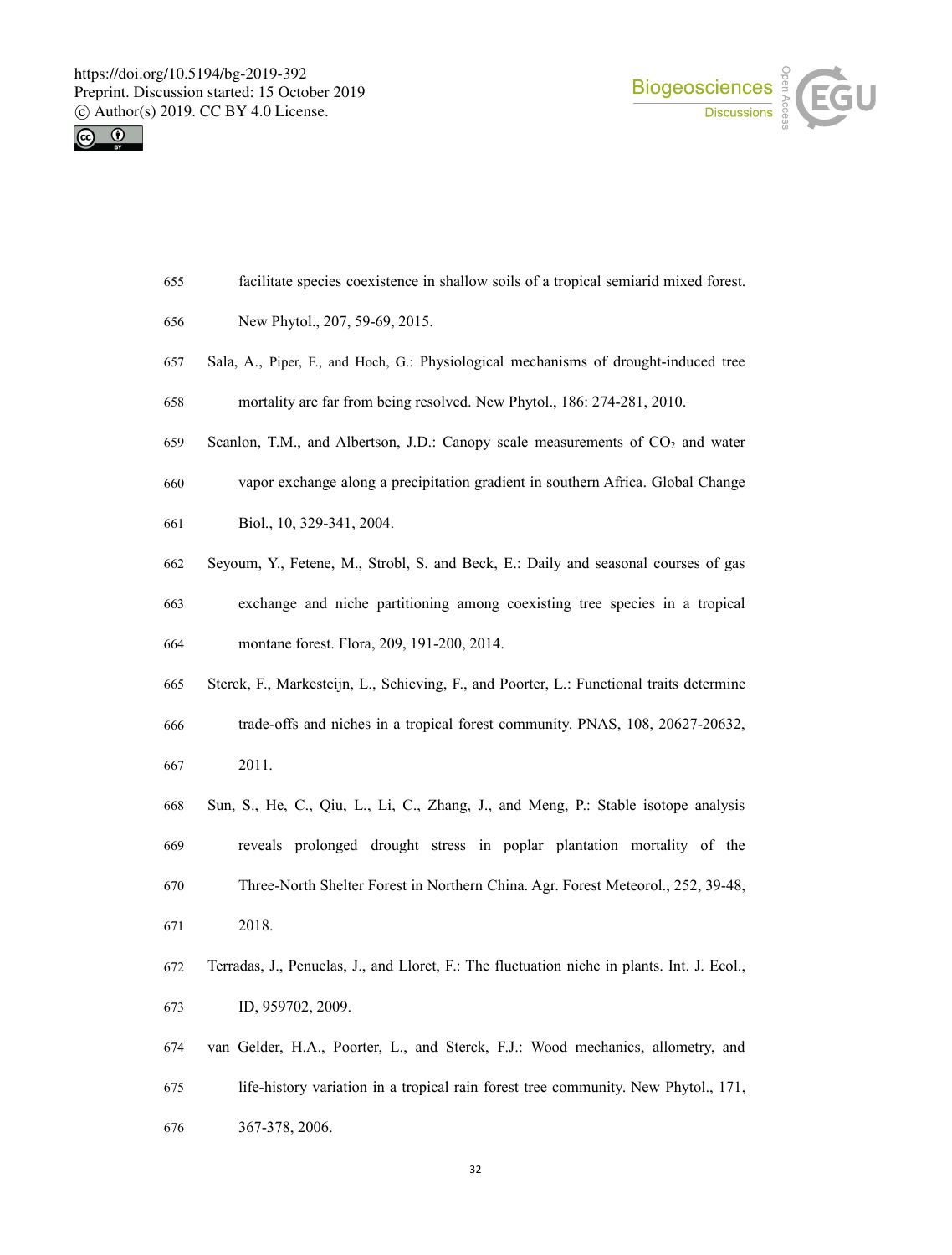



- facilitate species coexistence in shallow soils of a tropical semiarid mixed forest.
- New Phytol., 207, 59-69, 2015.
- Sala, A., Piper, F., and Hoch, G.: Physiological mechanisms of drought-induced tree
- mortality are far from being resolved. New Phytol., 186: 274-281, 2010.
- 659 Scanlon, T.M., and Albertson, J.D.: Canopy scale measurements of CO<sub>2</sub> and water
- vapor exchange along a precipitation gradient in southern Africa. Global Change
- Biol., 10, 329-341, 2004.
- Seyoum, Y., Fetene, M., Strobl, S. and Beck, E.: Daily and seasonal courses of gas
- exchange and niche partitioning among coexisting tree species in a tropical montane forest. Flora, 209, 191-200, 2014.
- Sterck, F., Markesteijn, L., Schieving, F., and Poorter, L.: Functional traits determine trade-offs and niches in a tropical forest community. PNAS, 108, 20627-20632, 2011.
- Sun, S., He, C., Qiu, L., Li, C., Zhang, J., and Meng, P.: Stable isotope analysis reveals prolonged drought stress in poplar plantation mortality of the Three-North Shelter Forest in Northern China. Agr. Forest Meteorol., 252, 39-48, 2018.
- Terradas, J., Penuelas, J., and Lloret, F.: The fluctuation niche in plants. Int. J. Ecol., ID, 959702, 2009.
- van Gelder, H.A., Poorter, L., and Sterck, F.J.: Wood mechanics, allometry, and 675 life-history variation in a tropical rain forest tree community. New Phytol., 171, 367-378, 2006.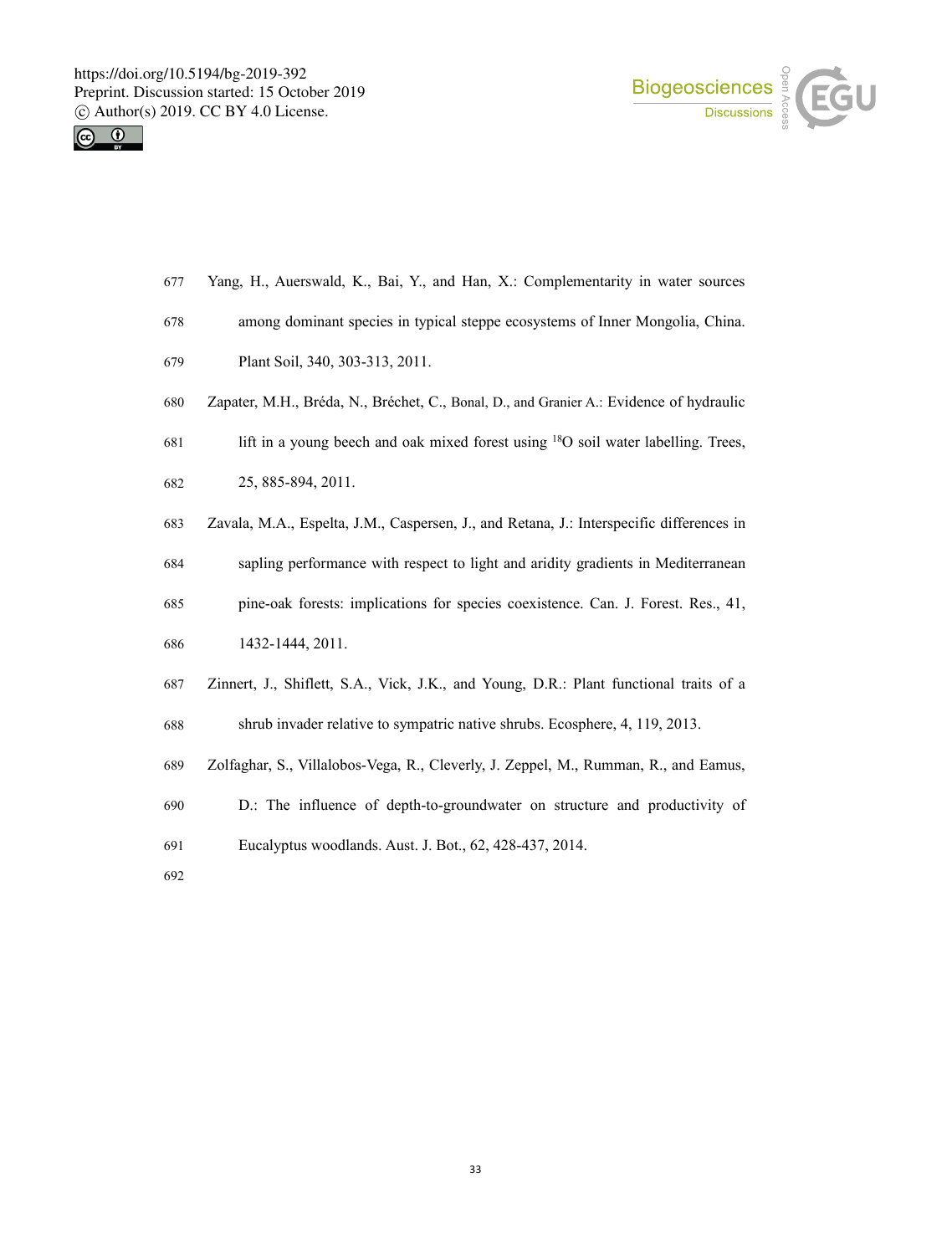



- Yang, H., Auerswald, K., Bai, Y., and Han, X.: Complementarity in water sources
- among dominant species in typical steppe ecosystems of Inner Mongolia, China.
- Plant Soil, 340, 303-313, 2011.
- Zapater, M.H., Bréda, N., Bréchet, C., Bonal, D., and Granier A.: Evidence of hydraulic
- 681 lift in a young beech and oak mixed forest using  $^{18}$ O soil water labelling. Trees,
- 25, 885-894, 2011.
- Zavala,M.A., Espelta, J.M., Caspersen, J., and Retana, J.: Interspecific differences in
- sapling performance with respect to light and aridity gradients in Mediterranean
- pine-oak forests: implications for species coexistence. Can. J. Forest. Res., 41,
- 1432-1444, 2011.
- 687 Zinnert, J., Shiflett, S.A., Vick, J.K., and Young, D.R.: Plant functional traits of a
- shrub invader relative to sympatric native shrubs. Ecosphere, 4, 119, 2013.
- Zolfaghar, S., Villalobos-Vega, R., Cleverly, J. Zeppel, M., Rumman, R., and Eamus,
- D.: The influence of depth-to-groundwater on structure and productivity of
- Eucalyptus woodlands. Aust. J. Bot., 62, 428-437, 2014.
-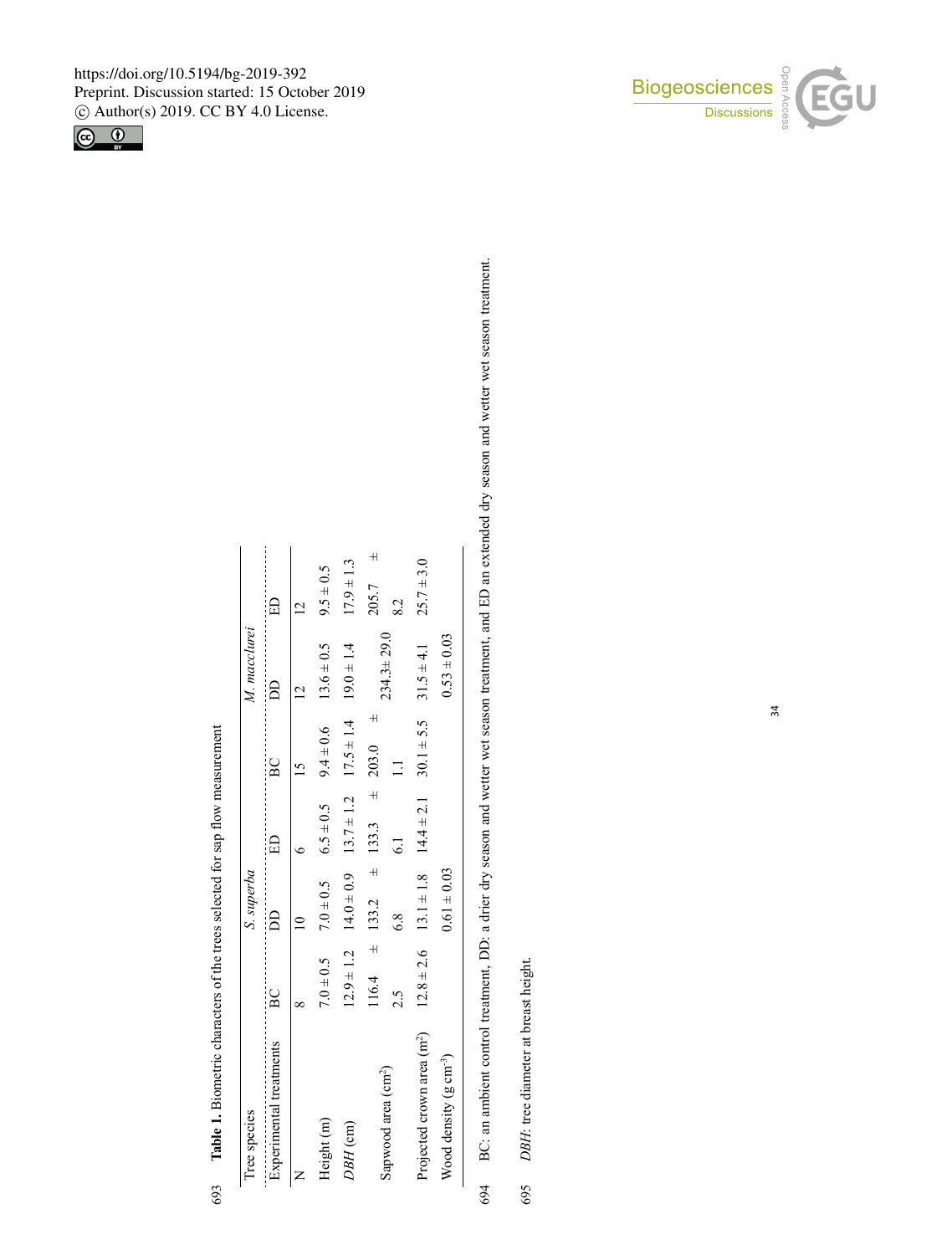

|     | Tree species                                                                                             |                | S. superba                  |                 |                               | M. macclurei    |                    |
|-----|----------------------------------------------------------------------------------------------------------|----------------|-----------------------------|-----------------|-------------------------------|-----------------|--------------------|
|     | Experimental treatments                                                                                  | B <sub>C</sub> | BD                          | E               | BC                            | ₿               | E                  |
|     | $\succ$                                                                                                  | $\infty$       | $\overline{\mathsf{C}}$     | $\bullet$       | $\overline{15}$               | $\overline{C}$  | $\overline{2}$     |
|     | Height (m)                                                                                               | $7.0 \pm 0.5$  | $7.0 \pm 0.5$               | $6.5 \pm 0.5$   | $9.4 \pm 0.6$                 | $13.6 \pm 0.5$  | $9.5 \pm 0.5$      |
|     | DBH (cm)                                                                                                 | $12.9 \pm 1.2$ | $14.0 \pm 0.9$              | $13.7 \pm 1.2$  | $17.5 \pm 1.4$                | $19.0 \pm 1.4$  | $17.9 \pm 1.3$     |
|     |                                                                                                          |                | $116.4 \pm 133.2 \pm 133.3$ |                 | $\overline{+}$<br>$\pm 203.0$ | $234.3 + 29.0$  | $\ddot{}$<br>205.7 |
|     | Sapwood area (cm <sup>2</sup> )                                                                          | 2.5            | 6.8                         | $\overline{61}$ | $\equiv$                      |                 | 8.2                |
|     | Projected crown area (m <sup>2</sup> )                                                                   | $12.8 \pm 2.6$ | $13.1 \pm 1.8$              | $14.4 \pm 2.1$  | $30.1 \pm 5.5$                | $31.5 \pm 4.1$  | $25.7 \pm 3.0$     |
|     | Wood density $(g \text{ cm}^{-3})$                                                                       |                | $0.61 \pm 0.03$             |                 |                               | $0.53 \pm 0.03$ |                    |
| 694 | BC: an ambient control treatment, DD: a drier dry season and wetter wet season treatment, and ED an exte |                |                             |                 |                               |                 |                    |
|     |                                                                                                          |                |                             |                 |                               |                 |                    |
| 695 | DBH: tree diameter at breast height.                                                                     |                |                             |                 |                               |                 |                    |
|     |                                                                                                          |                |                             |                 |                               |                 |                    |
|     |                                                                                                          |                |                             |                 |                               |                 |                    |
|     |                                                                                                          |                |                             |                 |                               |                 |                    |
|     |                                                                                                          |                |                             |                 |                               |                 |                    |

**Ta**w  $\mathbb{R}$  $\mathbf{r}$ D: <sup>a</sup> drier dry seaso n an dwetter wet seaso n treatment, an dED $D$  an exten<br> $\Box$ ded dry seaso n $\mathbf{a}$ dwetter wet seaso ntreatment.

 $\overline{\phantom{a}}$ Sap Pro $\begin{array}{c|c}\n\text{S} & \text{P}_2 \\
\text{P}_3 & \text{S} \\
\hline\n\end{array}$ C: an ambient co<br> $BH$ : tree diametes ntrol treatment, D<br>r at breast height.<br> 695<br>695<br>695 *DBH*: tree diameter at breast heig ht. 695

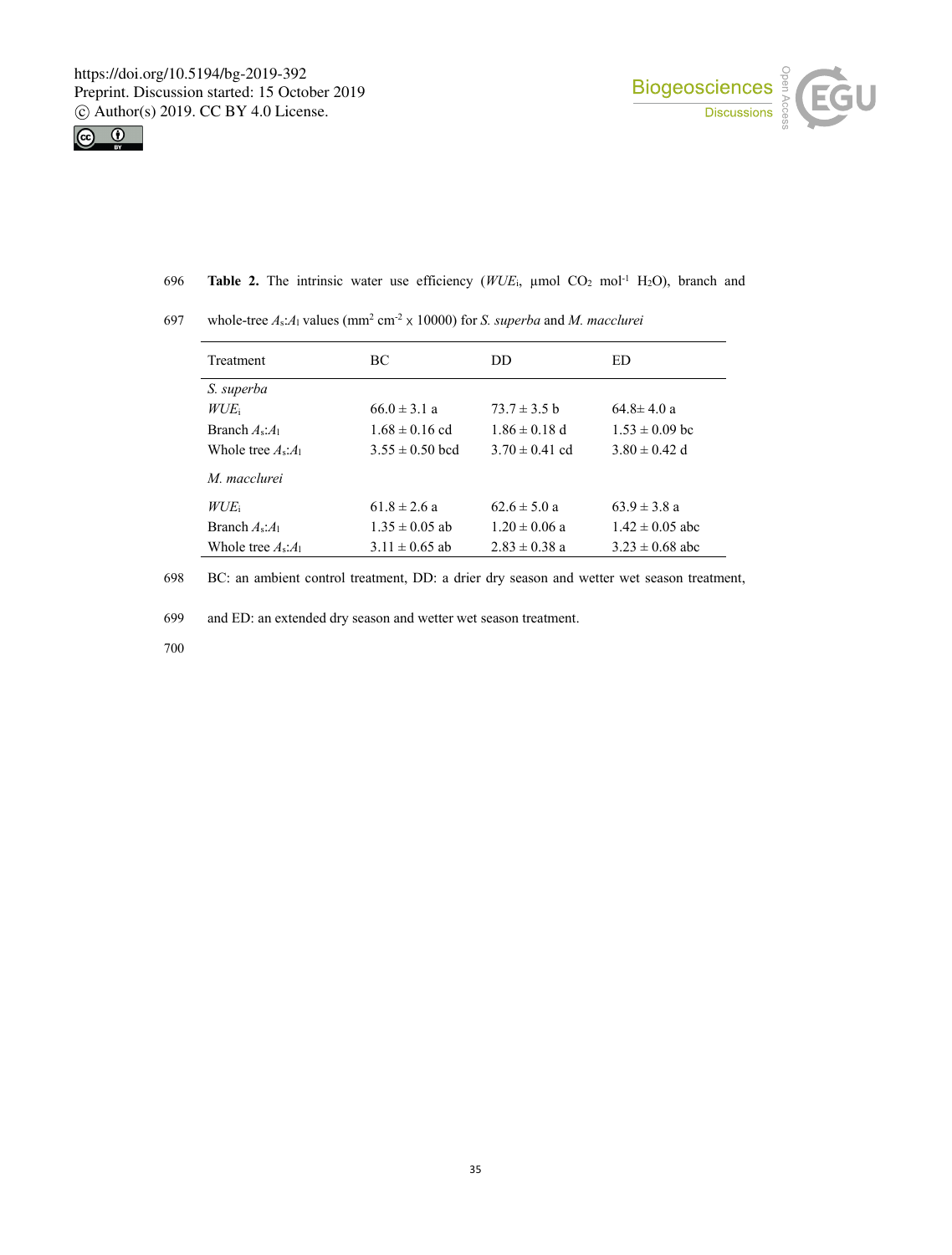



|--|

| Treatment                    | BC.                 | DD.                | ED                  |
|------------------------------|---------------------|--------------------|---------------------|
| S. superba                   |                     |                    |                     |
| $WUE_i$                      | $66.0 \pm 3.1 a$    | $73.7 \pm 3.5$ b   | $64.8 \pm 4.0 a$    |
| Branch $A_{\rm s}:A_{\rm 1}$ | $1.68 \pm 0.16$ cd  | $1.86 \pm 0.18$ d  | $1.53 \pm 0.09$ bc  |
| Whole tree $A_s:A_1$         | $3.55 \pm 0.50$ bcd | $3.70 \pm 0.41$ cd | $3.80 \pm 0.42$ d   |
| M. macclurei                 |                     |                    |                     |
| $WUE_i$                      | $61.8 \pm 2.6 a$    | $62.6 \pm 5.0 a$   | $63.9 \pm 3.8$ a    |
| Branch $A_s:A_1$             | $1.35 \pm 0.05$ ab  | $1.20 \pm 0.06$ a  | $1.42 \pm 0.05$ abc |
| Whole tree $A_s:A_1$         | $3.11 \pm 0.65$ ab  | $2.83 \pm 0.38$ a  | $3.23 \pm 0.68$ abc |

697 whole-tree  $A_s:A_1$  values (mm<sup>2</sup> cm<sup>-2</sup>  $\times$  10000) for *S. superba* and *M. macclurei* 

698 BC: an ambient control treatment, DD: a drier dry season and wetter wet season treatment,

699 and ED: an extended dry season and wetter wet season treatment.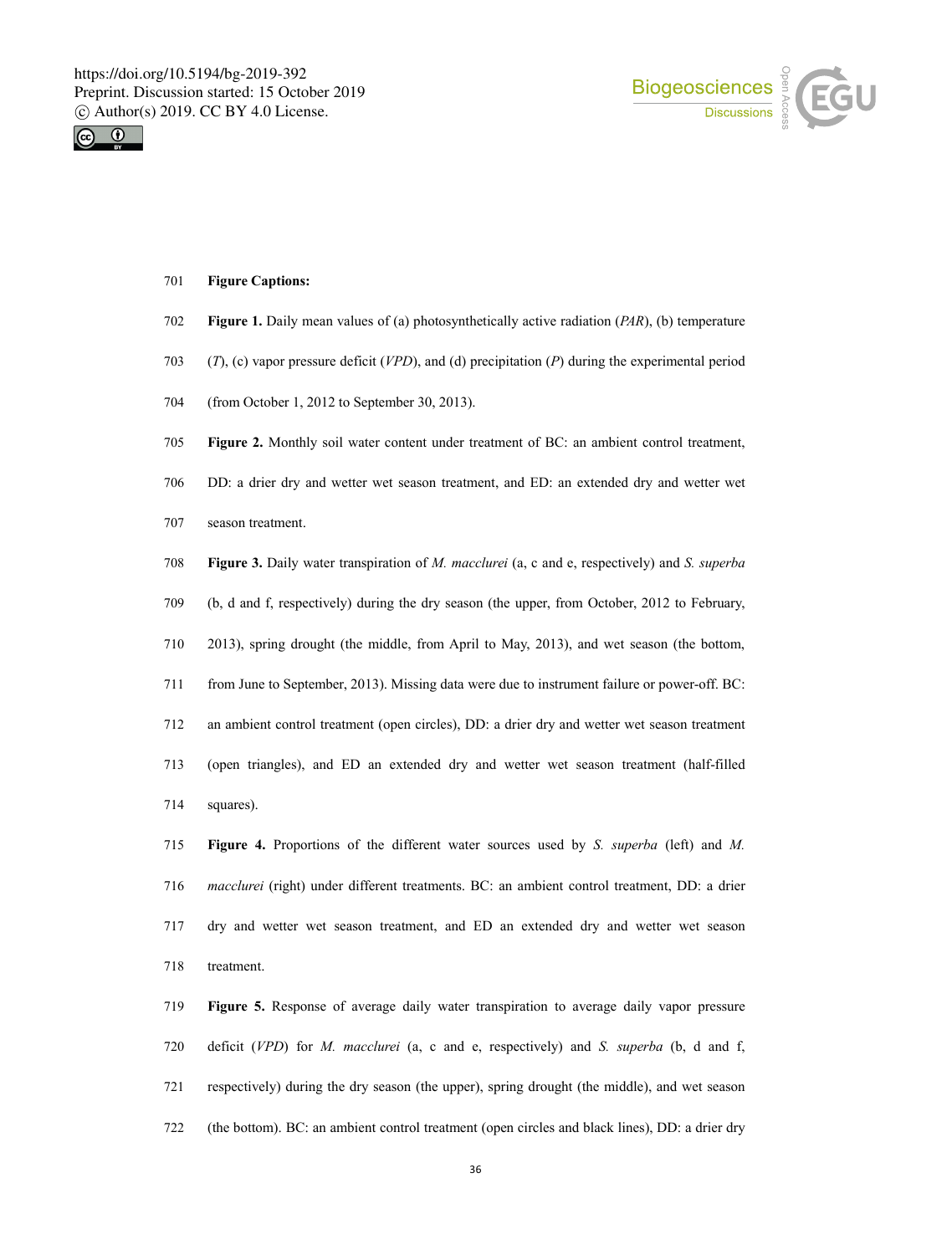



### **Figure Captions:**

- **Figure 1.** Daily mean values of(a) photosynthetically active radiation (*PAR*), (b) temperature
- (*T*), (c) vapor pressure deficit (*VPD*), and (d) precipitation (*P*) during the experimental period
- (from October 1, 2012 to September 30, 2013).
- **Figure 2.** Monthly soil water content under treatment of BC: an ambient control treatment,
- DD: a drier dry and wetter wet season treatment, and ED: an extended dry and wetter wet
- season treatment.

**Figure 3.** Daily water transpiration of *M. macclurei* (a, c and e, respectively) and *S. superba*

- (b, d and f, respectively) during the dry season (the upper, from October, 2012 to February,
- 2013), spring drought (the middle, from April to May, 2013), and wet season (the bottom,
- from June to September, 2013). Missing data were due to instrument failure or power-off. BC:
- an ambient control treatment (open circles), DD: a drier dry and wetter wet season treatment
- (open triangles), and ED an extended dry and wetter wet season treatment (half-filled squares).

**Figure 4.** Proportions of the different water sources used by *S. superba* (left) and *M. macclurei* (right) under different treatments. BC: an ambient control treatment, DD: a drier dry and wetter wet season treatment, and ED an extended dry and wetter wet season treatment.

 **Figure 5.** Response of average daily water transpiration to average daily vapor pressure deficit (*VPD*) for *M. macclurei* (a, c and e, respectively) and *S. superba* (b, d and f, respectively) during the dry season (the upper), spring drought (the middle), and wet season (the bottom). BC: an ambient control treatment (open circles and black lines), DD: a drier dry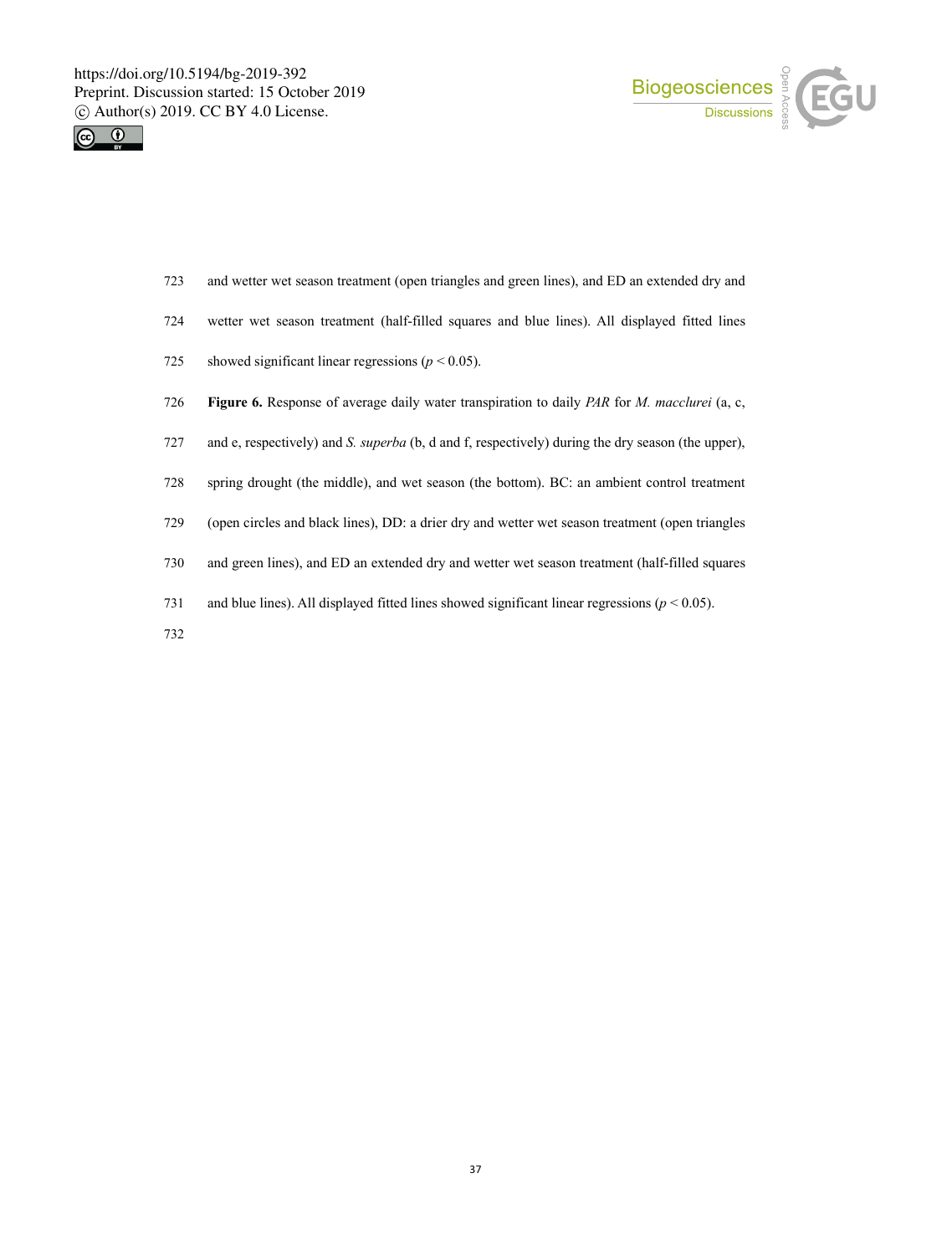



- and wetter wet season treatment (open triangles and green lines), and ED an extended dry and
- wetter wet season treatment (half-filled squares and blue lines). All displayed fitted lines
- 725 showed significant linear regressions  $(p < 0.05)$ .
- **Figure 6.** Response of average daily water transpiration to daily *PAR* for *M. macclurei* (a, c,
- and e, respectively) and *S. superba* (b, d and f, respectively) during the dry season (the upper),
- spring drought (the middle), and wet season (the bottom). BC: an ambient control treatment
- (open circles and black lines), DD: a drier dry and wetter wet season treatment (open triangles
- and green lines), and ED an extended dry and wetter wet season treatment (half-filled squares
- 731 and blue lines). All displayed fitted lines showed significant linear regressions  $(p < 0.05)$ .
-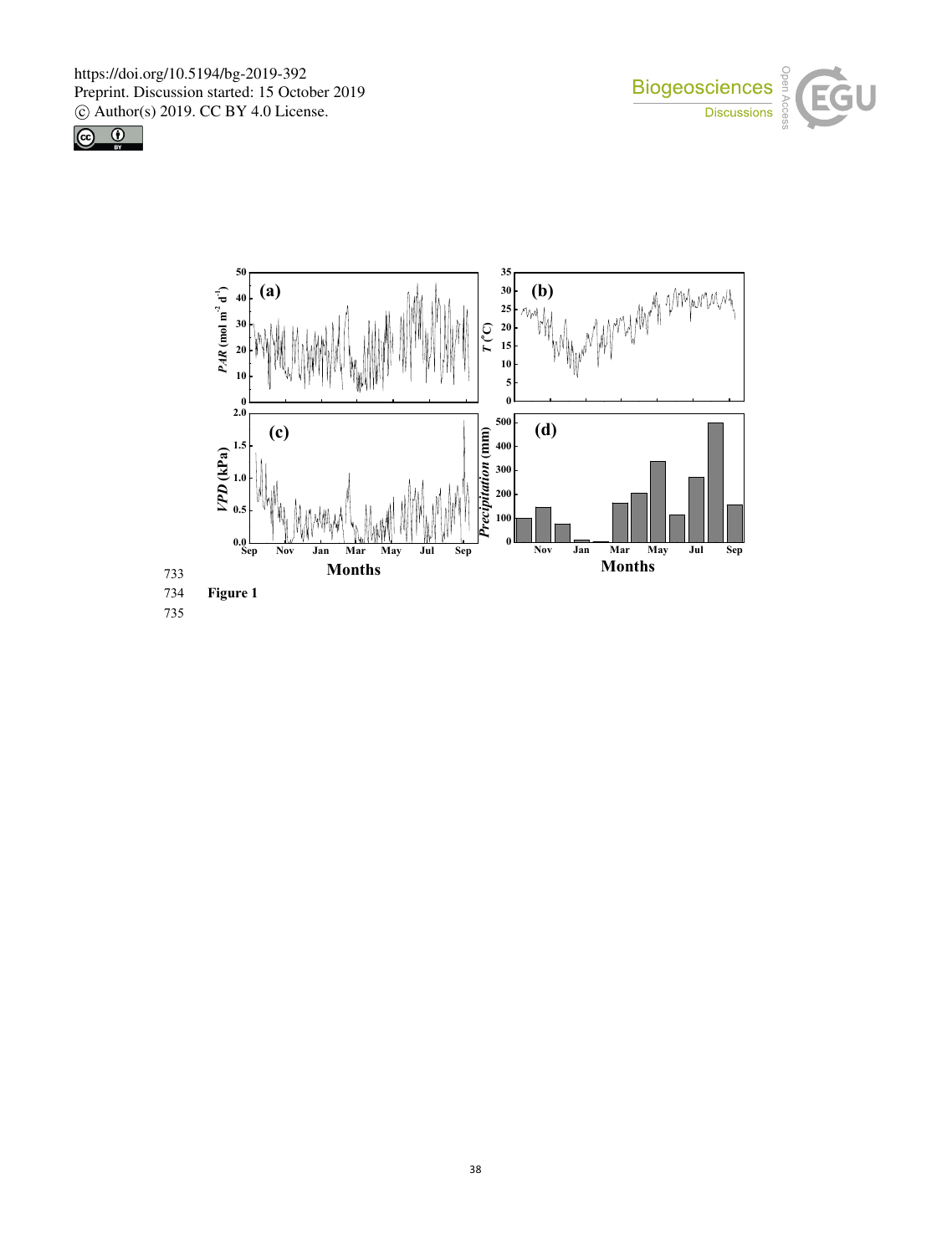



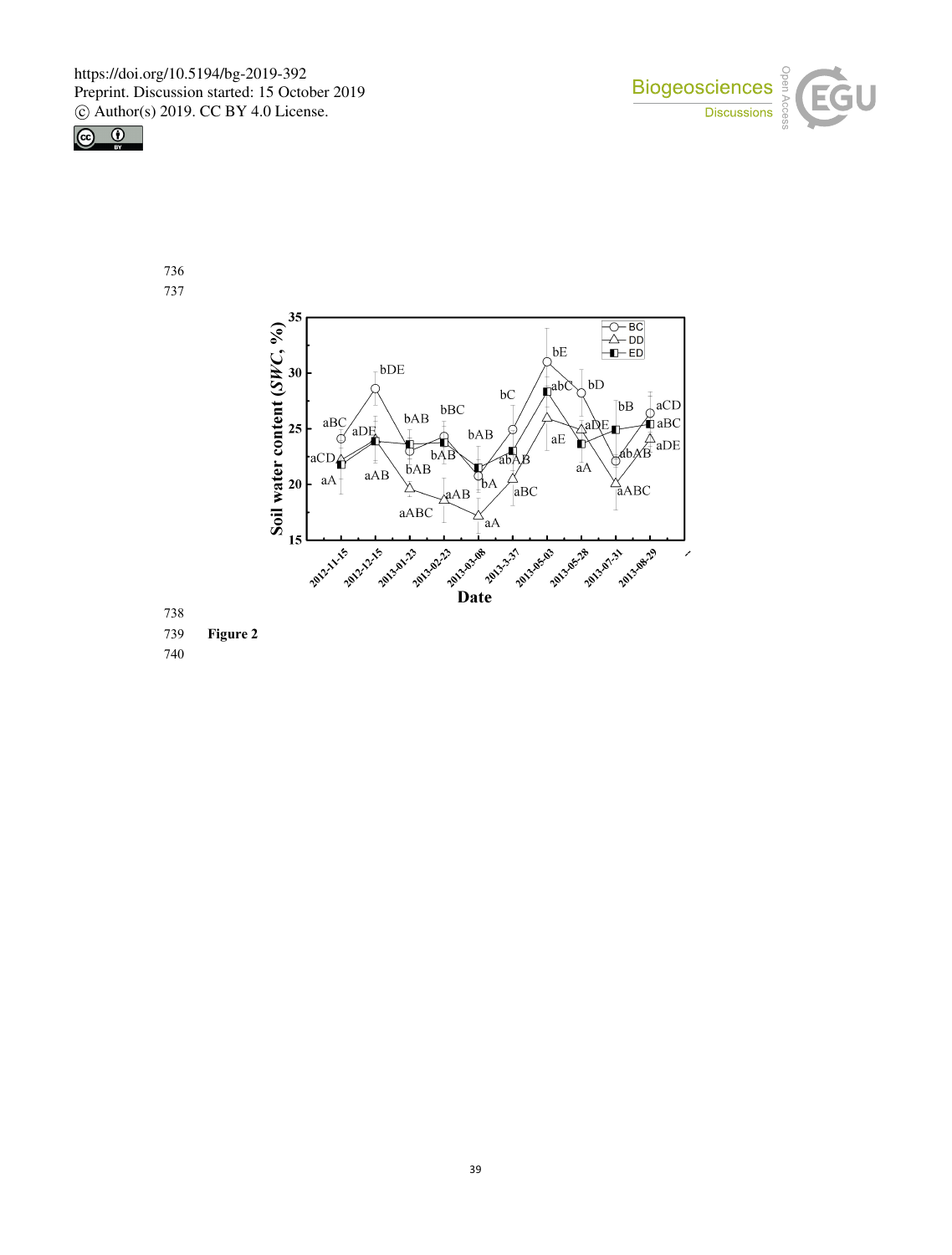





 

**Figure 2**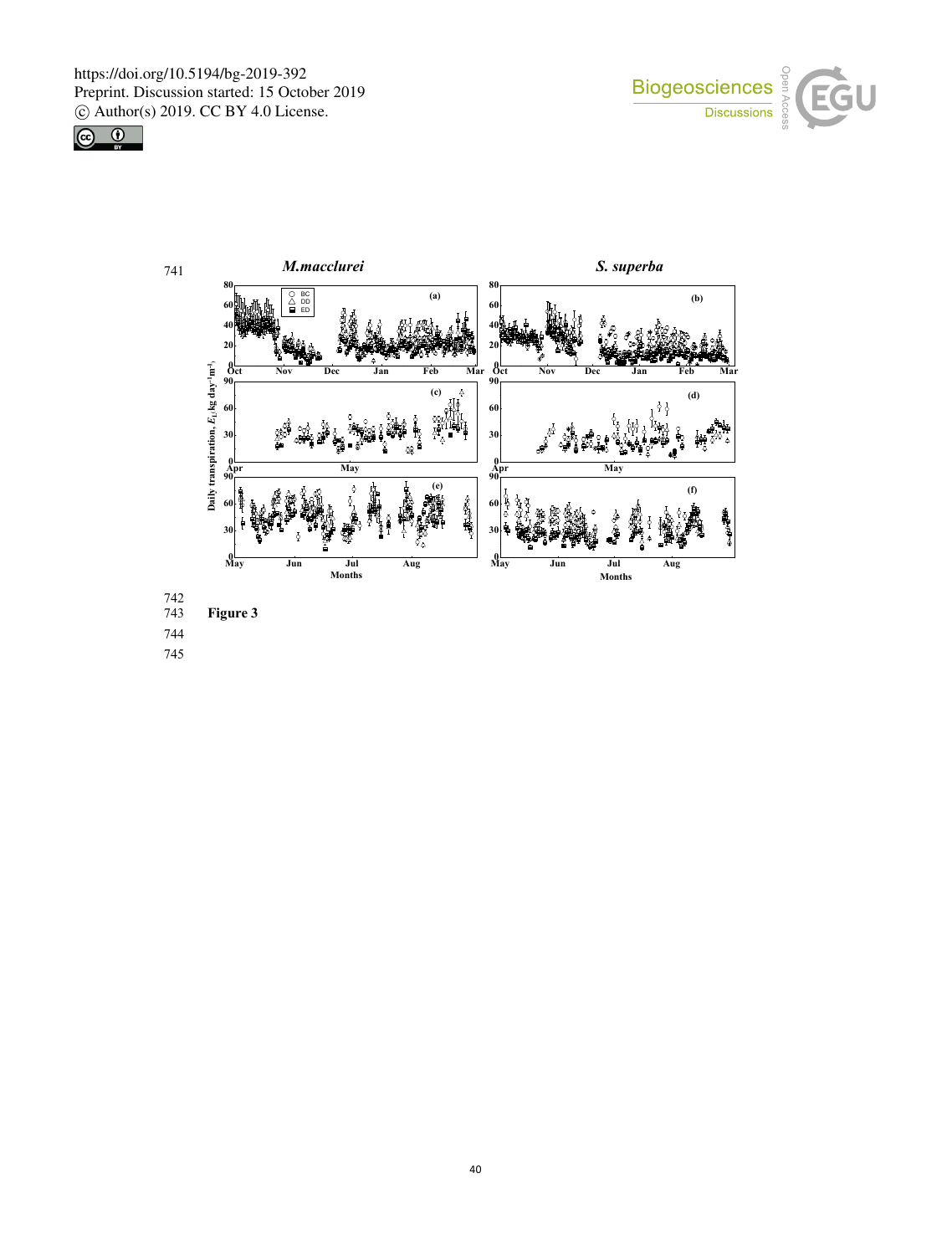





742

**Figure** 3

744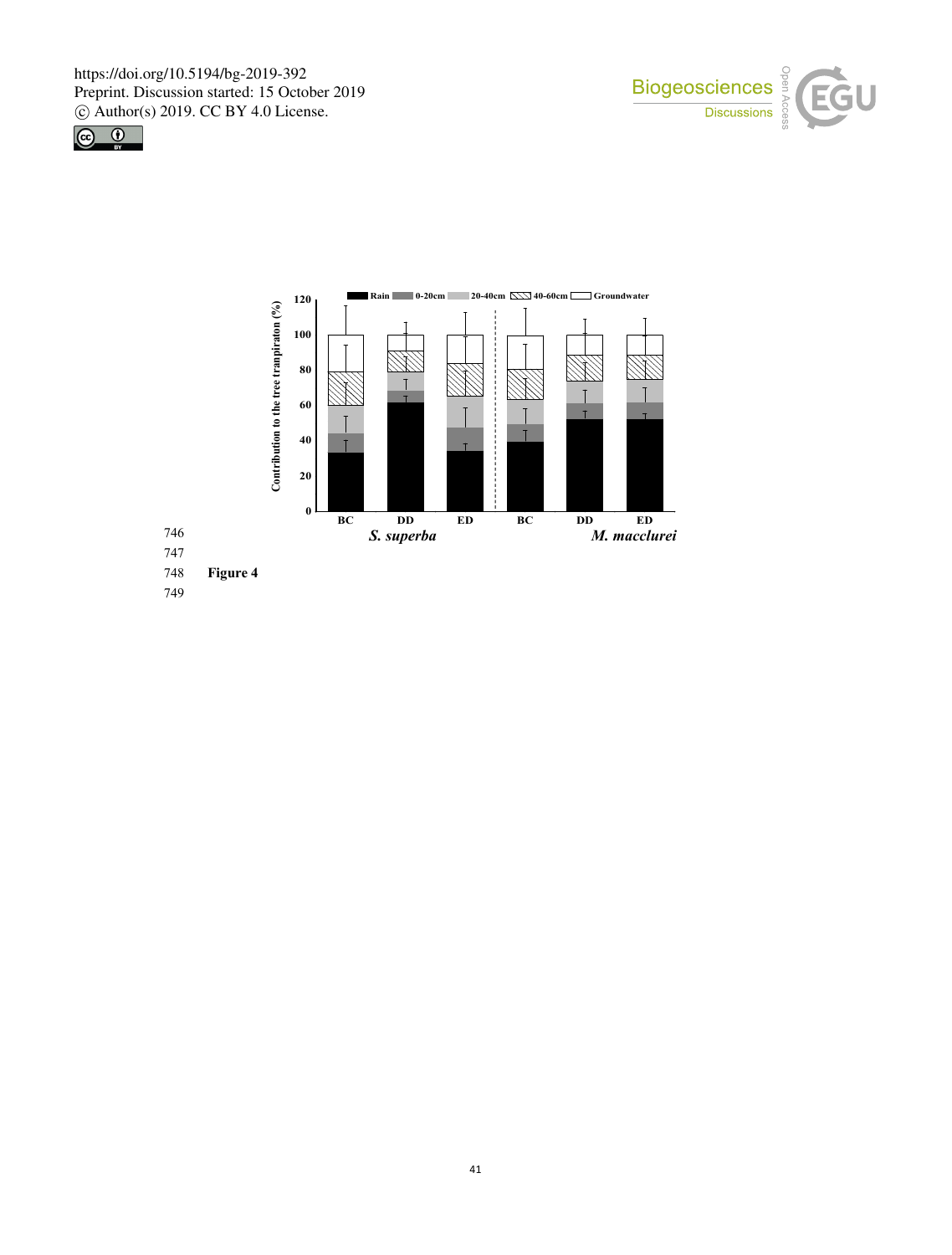



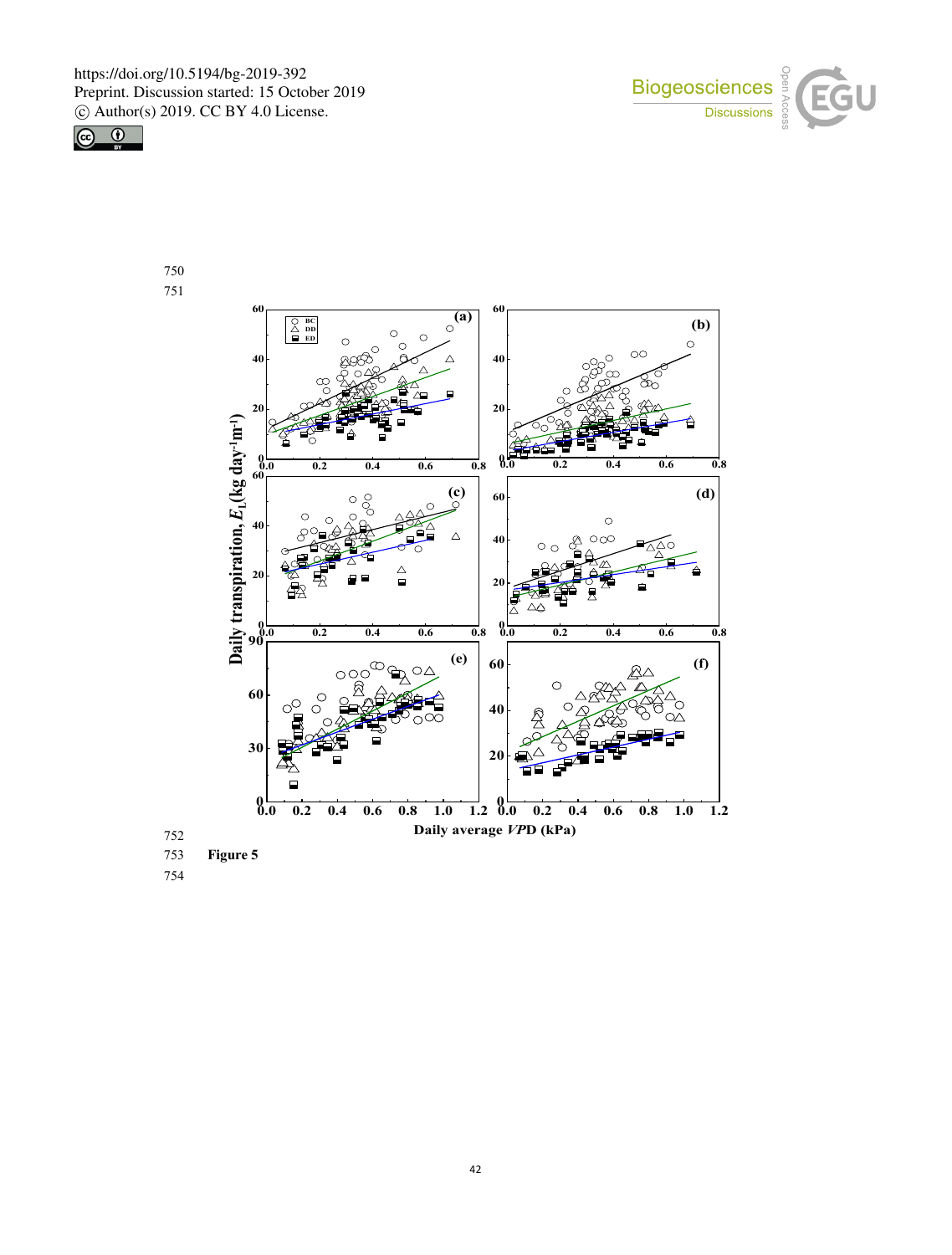



750 751



753 **Figure 5**